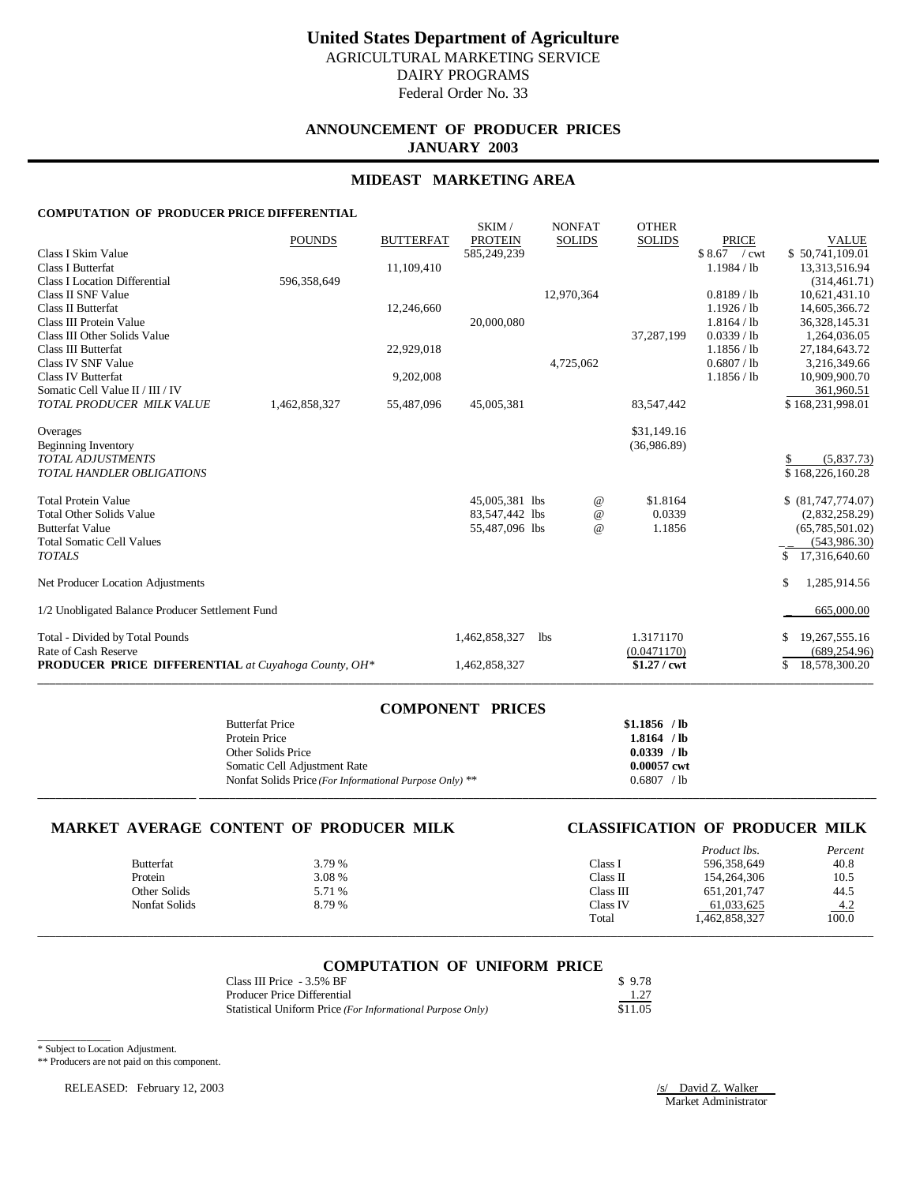# **ANNOUNCEMENT OF PRODUCER PRICES JANUARY 2003**

## **MIDEAST MARKETING AREA**

### **COMPUTATION OF PRODUCER PRICE DIFFERENTIAL**

|                                                            | <b>POUNDS</b> | <b>BUTTERFAT</b> | SKIM/<br><b>PROTEIN</b> | <b>NONFAT</b><br><b>SOLIDS</b> | <b>OTHER</b><br><b>SOLIDS</b> | <b>PRICE</b>               | <b>VALUE</b>                     |
|------------------------------------------------------------|---------------|------------------|-------------------------|--------------------------------|-------------------------------|----------------------------|----------------------------------|
| Class I Skim Value                                         |               |                  | 585,249,239             |                                |                               | $$8.67$ / cwt              | \$50,741,109.01                  |
| Class I Butterfat                                          |               | 11,109,410       |                         |                                |                               | 1.1984 / lb                | 13,313,516.94                    |
| <b>Class I Location Differential</b>                       | 596,358,649   |                  |                         |                                |                               |                            | (314, 461.71)                    |
| Class II SNF Value                                         |               |                  |                         | 12,970,364                     |                               | 0.8189 / lb                | 10,621,431.10                    |
| Class II Butterfat                                         |               | 12,246,660       |                         |                                |                               | 1.1926 / lb                | 14,605,366.72                    |
| Class III Protein Value<br>Class III Other Solids Value    |               |                  | 20,000,080              |                                |                               | 1.8164 / lb<br>0.0339 / lb | 36, 328, 145. 31<br>1,264,036.05 |
| Class III Butterfat                                        |               | 22,929,018       |                         |                                | 37,287,199                    | 1.1856 / lb                | 27,184,643.72                    |
| Class IV SNF Value                                         |               |                  |                         | 4,725,062                      |                               | 0.6807 / lb                | 3,216,349.66                     |
| <b>Class IV Butterfat</b>                                  |               | 9,202,008        |                         |                                |                               | 1.1856 / lb                | 10,909,900.70                    |
| Somatic Cell Value II / III / IV                           |               |                  |                         |                                |                               |                            | 361,960.51                       |
| TOTAL PRODUCER MILK VALUE                                  | 1,462,858,327 | 55,487,096       | 45,005,381              |                                | 83,547,442                    |                            | \$168,231,998.01                 |
| Overages                                                   |               |                  |                         |                                | \$31,149.16                   |                            |                                  |
| Beginning Inventory                                        |               |                  |                         |                                | (36,986.89)                   |                            |                                  |
| <b>TOTAL ADJUSTMENTS</b>                                   |               |                  |                         |                                |                               |                            | (5,837.73)                       |
| <b>TOTAL HANDLER OBLIGATIONS</b>                           |               |                  |                         |                                |                               |                            | \$168,226,160.28                 |
| <b>Total Protein Value</b>                                 |               |                  | 45,005,381 lbs          |                                | \$1.8164<br>$^{\omega}{}$     |                            | \$ (81,747,774.07)               |
| <b>Total Other Solids Value</b>                            |               |                  | 83,547,442 lbs          |                                | 0.0339<br>$\omega$            |                            | (2,832,258.29)                   |
| <b>Butterfat Value</b>                                     |               |                  | 55,487,096 lbs          |                                | 1.1856<br>$\omega$            |                            | (65,785,501.02)                  |
| <b>Total Somatic Cell Values</b>                           |               |                  |                         |                                |                               |                            | (543, 986, 30)                   |
| <b>TOTALS</b>                                              |               |                  |                         |                                |                               |                            | 17,316,640.60<br>\$.             |
| Net Producer Location Adjustments                          |               |                  |                         |                                |                               |                            | 1,285,914.56<br>S.               |
| 1/2 Unobligated Balance Producer Settlement Fund           |               |                  |                         |                                |                               |                            | 665,000.00                       |
| Total - Divided by Total Pounds                            |               |                  | 1,462,858,327           | <b>lbs</b>                     | 1.3171170                     |                            | 19, 267, 555. 16                 |
| Rate of Cash Reserve                                       |               |                  |                         |                                | (0.0471170)                   |                            | (689, 254.96)                    |
| <b>PRODUCER PRICE DIFFERENTIAL</b> at Cuyahoga County, OH* |               |                  | 1,462,858,327           |                                | $$1.27$ / cwt                 |                            | 18,578,300.20<br>\$              |

|                        | <b>COMPONENT PRICES</b> |               |
|------------------------|-------------------------|---------------|
| <b>Butterfat Price</b> |                         | $$1.1856$ /lb |

| $P^{\mu\nu}$                                            |              |
|---------------------------------------------------------|--------------|
| Protein Price                                           | 1.8164 / lb  |
| Other Solids Price                                      | $0.0339$ /lb |
| Somatic Cell Adjustment Rate                            | 0.00057 cwt  |
| Nonfat Solids Price (For Informational Purpose Only) ** | 0.6807 / lb  |
|                                                         |              |

## **MARKET AVERAGE CONTENT OF PRODUCER MILK CLASSIFICATION OF PRODUCER MILK**

|                      |        |           | Product lbs.  | Percent             |
|----------------------|--------|-----------|---------------|---------------------|
| <b>Butterfat</b>     | 3.79 % | Class 1   | 596,358,649   | 40.8                |
| Protein              | 3.08 % | Class II  | 154,264,306   | 10.5                |
| Other Solids         | 5.71 % | Class III | 651, 201, 747 | 44.5                |
| <b>Nonfat Solids</b> | 8.79%  | Class IV  | 61,033,625    |                     |
|                      |        | Total     | 1,462,858,327 | $\frac{4.2}{100.0}$ |
|                      |        |           |               |                     |

|  | <b>COMPUTATION OF UNIFORM PRICE</b> |  |
|--|-------------------------------------|--|
|  |                                     |  |

| Class III Price - 3.5% BF                                  | \$9.78  |
|------------------------------------------------------------|---------|
| Producer Price Differential                                | 1.27    |
| Statistical Uniform Price (For Informational Purpose Only) | \$11.05 |

\* Subject to Location Adjustment.

\_\_\_\_\_\_\_\_\_\_\_\_

\*\* Producers are not paid on this component.

RELEASED: February 12, 2003 /s/ David Z. Walker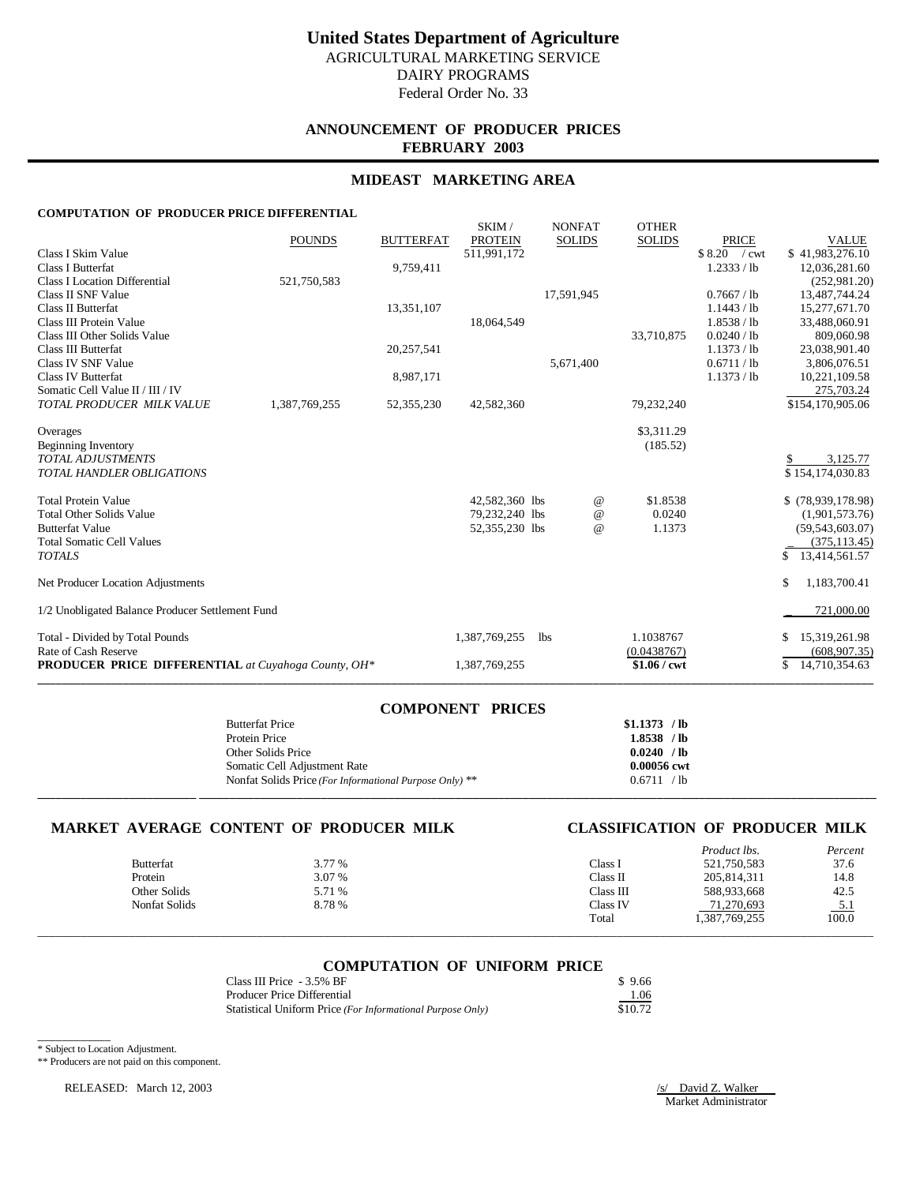# **ANNOUNCEMENT OF PRODUCER PRICES FEBRUARY 2003**

## **MIDEAST MARKETING AREA**

### **COMPUTATION OF PRODUCER PRICE DIFFERENTIAL**

|                                                                                    | <b>POUNDS</b> | <b>BUTTERFAT</b> | SKIM/<br><b>PROTEIN</b> | <b>NONFAT</b><br><b>SOLIDS</b> | <b>OTHER</b><br><b>SOLIDS</b> | <b>PRICE</b>               | <b>VALUE</b>                          |
|------------------------------------------------------------------------------------|---------------|------------------|-------------------------|--------------------------------|-------------------------------|----------------------------|---------------------------------------|
| Class I Skim Value                                                                 |               |                  | 511,991,172             |                                |                               | \$8.20 / cwt               | \$41,983,276.10                       |
| Class I Butterfat                                                                  |               | 9,759,411        |                         |                                |                               | 1.2333 / lb                | 12,036,281.60                         |
| <b>Class I Location Differential</b><br>Class II SNF Value                         | 521,750,583   |                  |                         | 17,591,945                     |                               | 0.7667/lb                  | (252, 981.20)<br>13,487,744.24        |
| Class II Butterfat                                                                 |               | 13,351,107       |                         |                                |                               | 1.1443 / lb                | 15,277,671.70                         |
| Class III Protein Value                                                            |               |                  | 18,064,549              |                                |                               | 1.8538 / lb                | 33,488,060.91                         |
| Class III Other Solids Value                                                       |               |                  |                         |                                | 33,710,875                    | 0.0240 / lb                | 809,060.98                            |
| Class III Butterfat<br>Class IV SNF Value                                          |               | 20,257,541       |                         | 5,671,400                      |                               | 1.1373 / lb<br>0.6711 / lb | 23,038,901.40<br>3,806,076.51         |
| <b>Class IV Butterfat</b>                                                          |               | 8,987,171        |                         |                                |                               | 1.1373 / lb                | 10,221,109.58                         |
| Somatic Cell Value II / III / IV                                                   |               |                  |                         |                                |                               |                            | 275,703.24                            |
| TOTAL PRODUCER MILK VALUE                                                          | 1,387,769,255 | 52,355,230       | 42,582,360              |                                | 79,232,240                    |                            | \$154,170,905.06                      |
| Overages                                                                           |               |                  |                         |                                | \$3,311.29                    |                            |                                       |
| Beginning Inventory                                                                |               |                  |                         |                                | (185.52)                      |                            |                                       |
| <b>TOTAL ADJUSTMENTS</b>                                                           |               |                  |                         |                                |                               |                            | 3,125.77                              |
| <b>TOTAL HANDLER OBLIGATIONS</b>                                                   |               |                  |                         |                                |                               |                            | \$154,174,030.83                      |
| <b>Total Protein Value</b>                                                         |               |                  | 42,582,360 lbs          | $^{\circ}$                     | \$1.8538                      |                            | $$$ (78,939,178.98)                   |
| <b>Total Other Solids Value</b>                                                    |               |                  | 79,232,240 lbs          | $\omega$                       | 0.0240                        |                            | (1,901,573.76)                        |
| <b>Butterfat Value</b>                                                             |               |                  | 52,355,230 lbs          | $\omega$                       | 1.1373                        |                            | (59, 543, 603.07)                     |
| <b>Total Somatic Cell Values</b>                                                   |               |                  |                         |                                |                               |                            | (375, 113.45)                         |
| <b>TOTALS</b>                                                                      |               |                  |                         |                                |                               |                            | 13,414,561.57                         |
| Net Producer Location Adjustments                                                  |               |                  |                         |                                |                               |                            | 1,183,700.41<br>S.                    |
| 1/2 Unobligated Balance Producer Settlement Fund                                   |               |                  |                         |                                |                               |                            | 721,000.00                            |
| Total - Divided by Total Pounds                                                    |               |                  | 1,387,769,255           | <b>lbs</b>                     | 1.1038767                     |                            | 15,319,261.98                         |
| Rate of Cash Reserve<br><b>PRODUCER PRICE DIFFERENTIAL</b> at Cuyahoga County, OH* |               |                  | 1,387,769,255           |                                | (0.0438767)<br>$$1.06 /$ cwt  |                            | (608, 907, 35)<br>14,710,354.63<br>\$ |
|                                                                                    |               |                  |                         |                                |                               |                            |                                       |

| <b>COMPONENT PRICES</b>                                 |               |
|---------------------------------------------------------|---------------|
| <b>Butterfat Price</b>                                  | $$1.1373$ /lb |
| Protein Price                                           | $1.8538$ /lb  |
| Other Solids Price                                      | 0.0240 / lb   |
| Somatic Cell Adjustment Rate                            | 0.00056 cwt   |
| Nonfat Solids Price (For Informational Purpose Only) ** | 0.6711 / lb   |
|                                                         |               |

## **MARKET AVERAGE CONTENT OF PRODUCER MILK CLASSIFICATION OF PRODUCER MILK**

|                      |        |           | Product lbs.  | Percent             |
|----------------------|--------|-----------|---------------|---------------------|
| <b>Butterfat</b>     | 3.77 % | Class 1   | 521,750,583   | 37.6                |
| Protein              | 3.07 % | Class II  | 205,814,311   | 14.8                |
| Other Solids         | 5.71 % | Class III | 588,933,668   | 42.5                |
| <b>Nonfat Solids</b> | 8.78%  | Class IV  | 71,270,693    |                     |
|                      |        | Total     | 1,387,769,255 | $\frac{5.1}{100.0}$ |
|                      |        |           |               |                     |

|--|

| Class III Price - 3.5% BF                                  | \$9.66  |
|------------------------------------------------------------|---------|
| <b>Producer Price Differential</b>                         | 1.06    |
| Statistical Uniform Price (For Informational Purpose Only) | \$10.72 |

\* Subject to Location Adjustment.

\_\_\_\_\_\_\_\_\_\_\_\_

\*\* Producers are not paid on this component.

RELEASED: March 12, 2003 /s/ David Z. Walker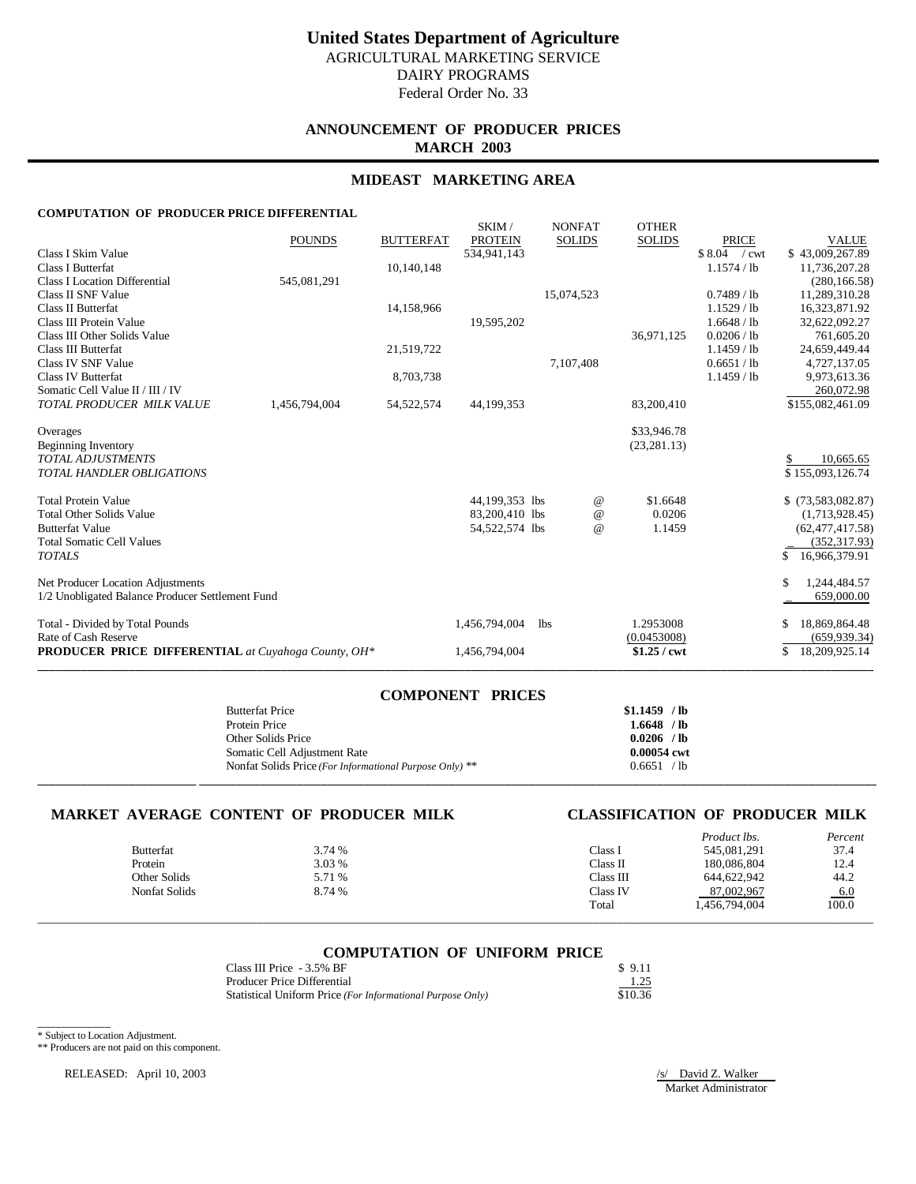# **ANNOUNCEMENT OF PRODUCER PRICES MARCH 2003**

## **MIDEAST MARKETING AREA**

### **COMPUTATION OF PRODUCER PRICE DIFFERENTIAL**

|                                                            | <b>POUNDS</b> | <b>BUTTERFAT</b> | SKIM/<br><b>PROTEIN</b> | <b>NONFAT</b><br><b>SOLIDS</b> | <b>OTHER</b><br><b>SOLIDS</b> | PRICE         | <b>VALUE</b>         |
|------------------------------------------------------------|---------------|------------------|-------------------------|--------------------------------|-------------------------------|---------------|----------------------|
| Class I Skim Value                                         |               |                  | 534.941.143             |                                |                               | \$8.04 / cwt  | \$43,009,267.89      |
| <b>Class I Butterfat</b>                                   |               | 10,140,148       |                         |                                |                               | 1.1574 / lb   | 11,736,207.28        |
| Class I Location Differential                              | 545,081,291   |                  |                         |                                |                               |               | (280, 166.58)        |
| Class II SNF Value                                         |               |                  |                         | 15,074,523                     |                               | 0.7489 / lb   | 11,289,310.28        |
| <b>Class II Butterfat</b>                                  |               | 14,158,966       |                         |                                |                               | $1.1529$ / lb | 16,323,871.92        |
| Class III Protein Value                                    |               |                  | 19,595,202              |                                |                               | 1.6648 / lb   | 32,622,092.27        |
| Class III Other Solids Value                               |               |                  |                         |                                | 36,971,125                    | 0.0206 / lb   | 761,605.20           |
| Class III Butterfat                                        |               | 21,519,722       |                         |                                |                               | $1.1459$ / lb | 24,659,449.44        |
| Class IV SNF Value                                         |               |                  |                         | 7,107,408                      |                               | 0.6651 / lb   | 4,727,137.05         |
| <b>Class IV Butterfat</b>                                  |               | 8,703,738        |                         |                                |                               | $1.1459$ / lb | 9,973,613.36         |
| Somatic Cell Value II / III / IV                           |               |                  |                         |                                |                               |               | 260,072.98           |
| TOTAL PRODUCER MILK VALUE                                  | 1,456,794,004 | 54, 522, 574     | 44,199,353              |                                | 83,200,410                    |               | \$155,082,461.09     |
| Overages                                                   |               |                  |                         |                                | \$33,946.78                   |               |                      |
| Beginning Inventory                                        |               |                  |                         |                                | (23, 281, 13)                 |               |                      |
| <b>TOTAL ADJUSTMENTS</b>                                   |               |                  |                         |                                |                               |               | 10,665.65<br>\$      |
| <b>TOTAL HANDLER OBLIGATIONS</b>                           |               |                  |                         |                                |                               |               | \$155,093,126.74     |
|                                                            |               |                  |                         |                                |                               |               |                      |
| <b>Total Protein Value</b>                                 |               |                  | 44,199,353 lbs          |                                | $^{\,a}$<br>\$1.6648          |               | $$$ (73,583,082.87)  |
| <b>Total Other Solids Value</b>                            |               |                  | 83,200,410 lbs          |                                | 0.0206<br>$\omega$            |               | (1,713,928.45)       |
| <b>Butterfat Value</b>                                     |               |                  | 54,522,574 lbs          |                                | 1.1459<br>$^{\circ}$          |               | (62, 477, 417, 58)   |
| <b>Total Somatic Cell Values</b>                           |               |                  |                         |                                |                               |               | (352, 317.93)        |
| <b>TOTALS</b>                                              |               |                  |                         |                                |                               |               | 16.966.379.91<br>\$. |
| Net Producer Location Adjustments                          |               |                  |                         |                                |                               |               | 1,244,484.57<br>S    |
| 1/2 Unobligated Balance Producer Settlement Fund           |               |                  |                         |                                |                               |               | 659,000.00           |
| Total - Divided by Total Pounds                            |               |                  | 1,456,794,004           | <b>lbs</b>                     | 1.2953008                     |               | 18,869,864.48        |
| Rate of Cash Reserve                                       |               |                  |                         |                                | (0.0453008)                   |               | (659, 939.34)        |
| <b>PRODUCER PRICE DIFFERENTIAL</b> at Cuyahoga County, OH* |               |                  | 1,456,794,004           |                                | $$1.25$ / cwt                 |               | 18,209,925.14        |
|                                                            |               |                  |                         |                                |                               |               |                      |

| <b>COMPONENT PRICES</b>                                 |               |
|---------------------------------------------------------|---------------|
| <b>Butterfat Price</b>                                  | $$1.1459$ /lb |
| Protein Price                                           | $1.6648$ /lb  |
| Other Solids Price                                      | $0.0206$ /lb  |
| Somatic Cell Adjustment Rate                            | 0.00054 cwt   |
| Nonfat Solids Price (For Informational Purpose Only) ** | 0.6651 / lb   |
|                                                         |               |

## **MARKET AVERAGE CONTENT OF PRODUCER MILK CLASSIFICATION OF PRODUCER MILK**

|                      |        |           | Product lbs.  | Percent             |
|----------------------|--------|-----------|---------------|---------------------|
| <b>Butterfat</b>     | 3.74 % | Class 1   | 545,081,291   | 37.4                |
| Protein              | 3.03 % | Class II  | 180,086,804   | 12.4                |
| Other Solids         | 5.71 % | Class III | 644,622,942   | 44.2                |
| <b>Nonfat Solids</b> | 8.74 % | Class IV  | 87,002,967    |                     |
|                      |        | Total     | 1.456.794.004 | $\frac{6.0}{100.0}$ |
|                      |        |           |               |                     |

### **COMPUTATION OF UNIFORM PRICE**

| Class III Price - 3.5% BF                                  | \$9.11  |
|------------------------------------------------------------|---------|
| Producer Price Differential                                | 1.25    |
| Statistical Uniform Price (For Informational Purpose Only) | \$10.36 |

\* Subject to Location Adjustment.

\_\_\_\_\_\_\_\_\_\_\_\_

\*\* Producers are not paid on this component.

RELEASED: April 10, 2003 /s/ David Z. Walker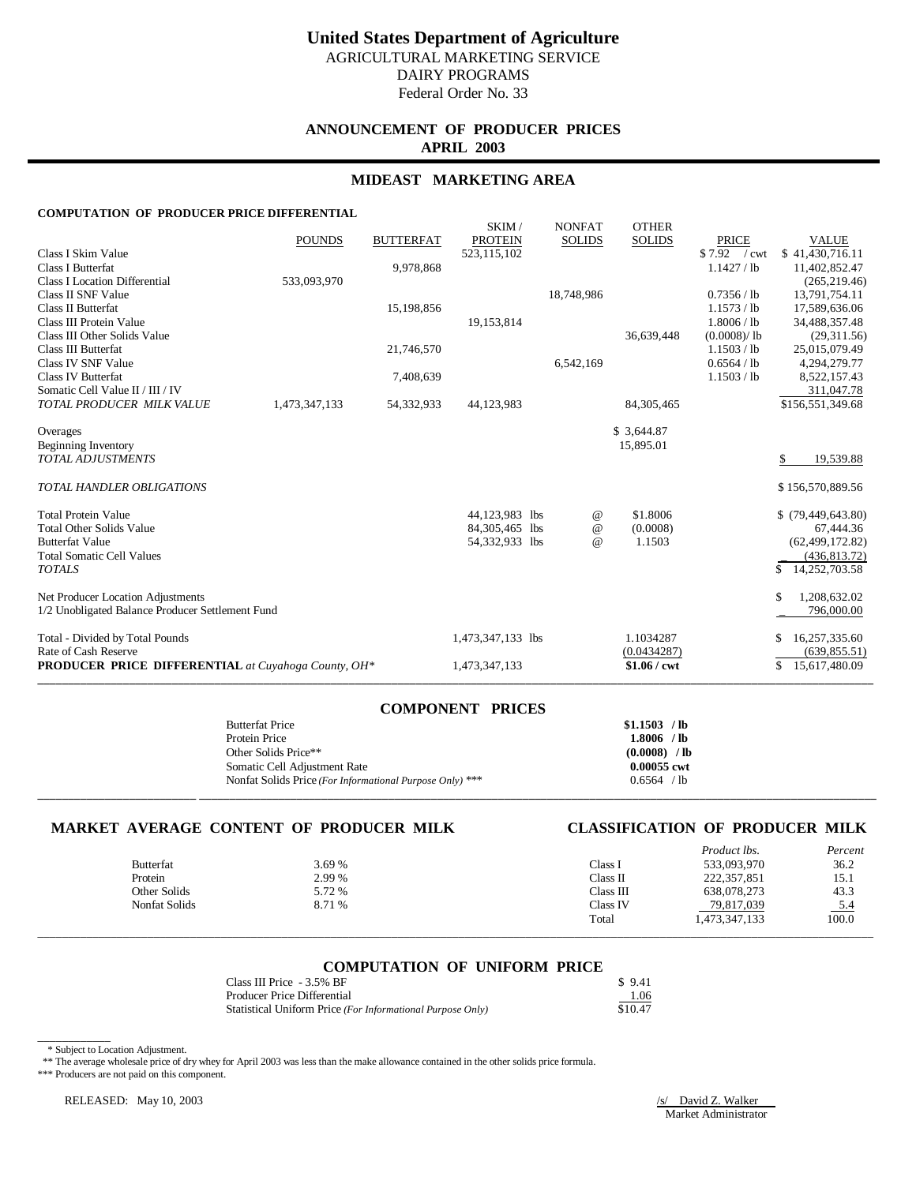# **United States Department of Agriculture** AGRICULTURAL MARKETING SERVICE

DAIRY PROGRAMS

Federal Order No. 33

## **ANNOUNCEMENT OF PRODUCER PRICES APRIL 2003**

# **MIDEAST MARKETING AREA**

### **COMPUTATION OF PRODUCER PRICE DIFFERENTIAL**

|                                                            | <b>POUNDS</b> | <b>BUTTERFAT</b> | SKIM/<br><b>PROTEIN</b> | <b>NONFAT</b><br><b>SOLIDS</b> | <b>OTHER</b><br><b>SOLIDS</b> | <b>PRICE</b>  | <b>VALUE</b>        |
|------------------------------------------------------------|---------------|------------------|-------------------------|--------------------------------|-------------------------------|---------------|---------------------|
| Class I Skim Value                                         |               |                  | 523,115,102             |                                |                               | \$7.92 / cwt  | \$41,430,716.11     |
| Class I Butterfat                                          |               | 9,978,868        |                         |                                |                               | $1.1427$ / lb | 11,402,852.47       |
| <b>Class I Location Differential</b>                       | 533,093,970   |                  |                         |                                |                               |               | (265, 219.46)       |
| Class II SNF Value                                         |               |                  |                         | 18,748,986                     |                               | 0.7356 / lb   | 13,791,754.11       |
| <b>Class II Butterfat</b>                                  |               | 15,198,856       |                         |                                |                               | 1.1573 / lb   | 17,589,636.06       |
| Class III Protein Value                                    |               |                  | 19,153,814              |                                |                               | 1.8006 / lb   | 34,488,357.48       |
| Class III Other Solids Value                               |               |                  |                         |                                | 36,639,448                    | (0.0008)/lb   | (29,311.56)         |
| Class III Butterfat                                        |               | 21,746,570       |                         |                                |                               | 1.1503 / lb   | 25,015,079.49       |
| Class IV SNF Value                                         |               |                  |                         | 6,542,169                      |                               | 0.6564 / lb   | 4,294,279.77        |
| <b>Class IV Butterfat</b>                                  |               | 7,408,639        |                         |                                |                               | 1.1503 / lb   | 8,522,157.43        |
| Somatic Cell Value II / III / IV                           |               |                  |                         |                                |                               |               | 311,047.78          |
| TOTAL PRODUCER MILK VALUE                                  | 1,473,347,133 | 54,332,933       | 44,123,983              |                                | 84, 305, 465                  |               | \$156,551,349.68    |
|                                                            |               |                  |                         |                                |                               |               |                     |
| Overages<br>Beginning Inventory                            |               |                  |                         |                                | \$ 3,644.87<br>15,895.01      |               |                     |
| <b>TOTAL ADJUSTMENTS</b>                                   |               |                  |                         |                                |                               |               | 19,539.88           |
|                                                            |               |                  |                         |                                |                               |               |                     |
| <b>TOTAL HANDLER OBLIGATIONS</b>                           |               |                  |                         |                                |                               |               | \$156,570,889.56    |
| <b>Total Protein Value</b>                                 |               |                  | 44,123,983 lbs          | $^{\circ}$                     | \$1.8006                      |               | $$$ (79,449,643.80) |
| <b>Total Other Solids Value</b>                            |               |                  | 84,305,465 lbs          | $^{\copyright}$                | (0.0008)                      |               | 67,444.36           |
| <b>Butterfat Value</b>                                     |               |                  | 54,332,933 lbs          | $\omega$                       | 1.1503                        |               | (62, 499, 172, 82)  |
| <b>Total Somatic Cell Values</b>                           |               |                  |                         |                                |                               |               | (436, 813.72)       |
| <b>TOTALS</b>                                              |               |                  |                         |                                |                               |               | 14,252,703.58<br>\$ |
| Net Producer Location Adjustments                          |               |                  |                         |                                |                               |               | \$<br>1,208,632.02  |
| 1/2 Unobligated Balance Producer Settlement Fund           |               |                  |                         |                                |                               |               | 796,000.00          |
| Total - Divided by Total Pounds                            |               |                  | 1,473,347,133 lbs       |                                | 1.1034287                     |               | 16,257,335.60<br>\$ |
| Rate of Cash Reserve                                       |               |                  |                         |                                | (0.0434287)                   |               | (639, 855.51)       |
| <b>PRODUCER PRICE DIFFERENTIAL</b> at Cuyahoga County, OH* |               |                  | 1,473,347,133           |                                | $$1.06$ / cwt                 |               | \$<br>15,617,480.09 |
|                                                            |               |                  |                         |                                |                               |               |                     |

|                                                          | <b>COMPONENT PRICES</b> |                |
|----------------------------------------------------------|-------------------------|----------------|
| <b>Butterfat Price</b>                                   |                         | \$1.1503 / lb  |
| Protein Price                                            |                         | $1.8006$ /lb   |
| Other Solids Price**                                     |                         | $(0.0008)$ /lb |
| Somatic Cell Adjustment Rate                             |                         | 0.00055 cwt    |
| Nonfat Solids Price (For Informational Purpose Only) *** |                         | $0.6564$ /lb   |

**\_\_\_\_\_\_\_\_\_\_\_\_\_\_\_\_\_\_\_\_\_\_\_\_\_\_ \_\_\_\_\_\_\_\_\_\_\_\_\_\_\_\_\_\_\_\_\_\_\_\_\_\_\_\_\_\_\_\_\_\_\_\_\_\_\_\_\_\_\_\_\_\_\_\_\_\_\_\_\_\_\_\_\_\_\_\_\_\_\_\_\_\_\_\_\_\_\_\_\_\_\_\_\_\_\_\_\_\_\_\_\_\_\_\_\_\_\_\_\_\_\_\_\_\_\_\_\_\_\_\_\_\_\_\_\_\_\_**

## **MARKET AVERAGE CONTENT OF PRODUCER MILK CLASSIFICATION OF PRODUCER MILK**

|        |           | Product lbs.  | Percent |
|--------|-----------|---------------|---------|
| 3.69 % | Class 1   | 533,093,970   | 36.2    |
| 2.99 % | Class II  | 222, 357, 851 | 15.1    |
| 5.72 % | Class III | 638,078,273   | 43.3    |
| 8.71 % | Class IV  | 79,817,039    | $-5.4$  |
|        | Total     | 1,473,347,133 | 100.0   |
|        |           |               |         |

## **COMPUTATION OF UNIFORM PRICE**

\_\_\_\_\_\_\_\_\_\_\_\_\_\_\_\_\_\_\_\_\_\_\_\_\_\_\_\_\_\_\_\_\_\_\_\_\_\_\_\_\_\_\_\_\_\_\_\_\_\_\_\_\_\_\_\_\_\_\_\_\_\_\_\_\_\_\_\_\_\_\_\_\_\_\_\_\_\_\_\_\_\_\_\_\_\_\_\_\_\_\_\_\_\_\_\_\_\_\_\_\_\_\_\_\_\_\_\_\_\_\_\_\_\_\_\_\_\_\_\_\_\_\_\_\_\_\_\_\_\_\_\_\_\_\_\_\_

| Class III Price - 3.5% BF                                  | \$9.41  |
|------------------------------------------------------------|---------|
| <b>Producer Price Differential</b>                         | 1.06    |
| Statistical Uniform Price (For Informational Purpose Only) | \$10.47 |

\* Subject to Location Adjustment.

\_\_\_\_\_\_\_\_\_\_\_\_

\*\* The average wholesale price of dry whey for April 2003 was less than the make allowance contained in the other solids price formula.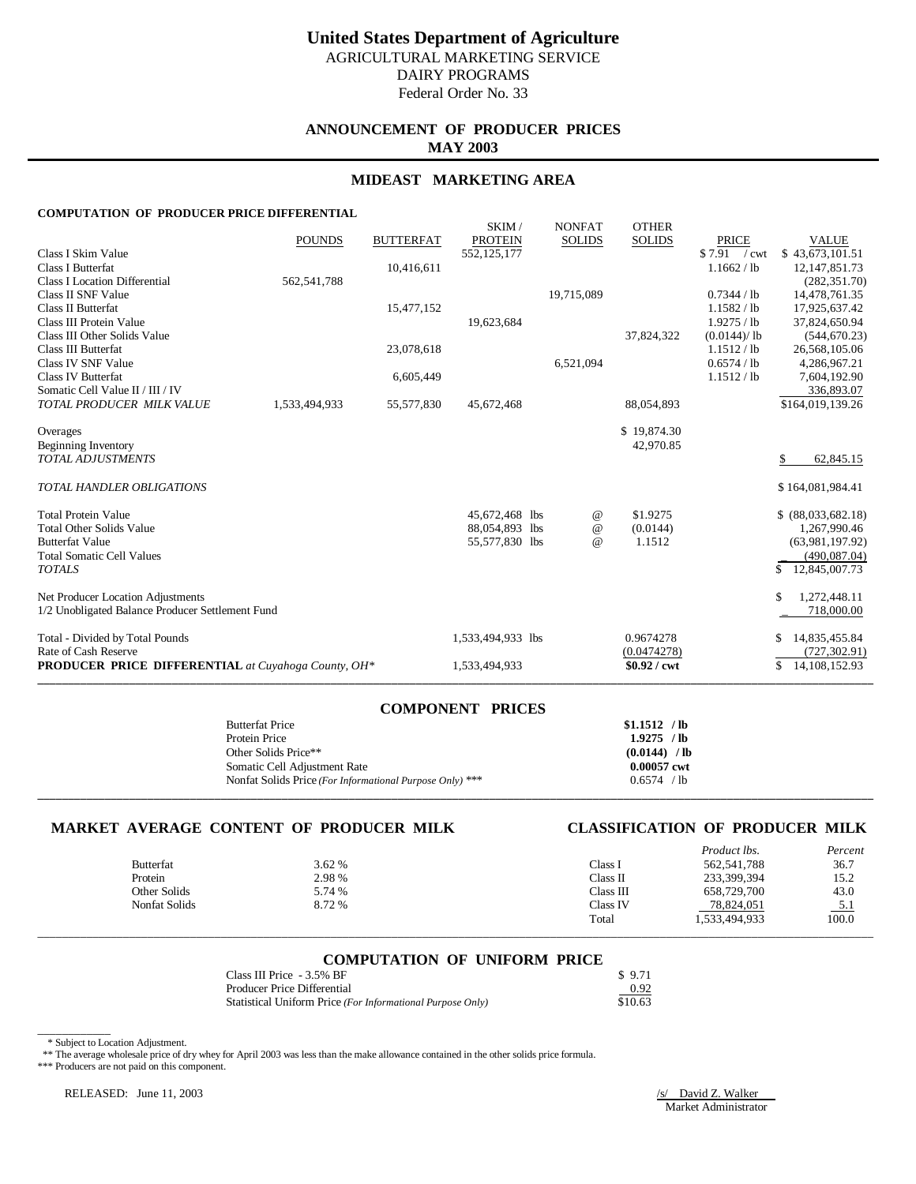## **ANNOUNCEMENT OF PRODUCER PRICES MAY 2003**

## **MIDEAST MARKETING AREA**

### **COMPUTATION OF PRODUCER PRICE DIFFERENTIAL**

|                                                            | <b>POUNDS</b> | <b>BUTTERFAT</b> | SKIM/<br><b>PROTEIN</b> | <b>NONFAT</b><br><b>SOLIDS</b> | <b>OTHER</b><br><b>SOLIDS</b> | <b>PRICE</b>  | <b>VALUE</b>           |
|------------------------------------------------------------|---------------|------------------|-------------------------|--------------------------------|-------------------------------|---------------|------------------------|
| Class I Skim Value                                         |               |                  | 552,125,177             |                                |                               | $$7.91$ / cwt | \$43,673,101.51        |
| Class I Butterfat                                          |               | 10,416,611       |                         |                                |                               | 1.1662 / lb   | 12, 147, 851. 73       |
| <b>Class I Location Differential</b>                       | 562, 541, 788 |                  |                         |                                |                               |               | (282, 351.70)          |
| Class II SNF Value                                         |               |                  |                         | 19,715,089                     |                               | 0.7344 / lb   | 14,478,761.35          |
| <b>Class II Butterfat</b>                                  |               | 15,477,152       |                         |                                |                               | 1.1582 / lb   | 17,925,637.42          |
| Class III Protein Value                                    |               |                  | 19,623,684              |                                |                               | 1.9275 / lb   | 37,824,650.94          |
| Class III Other Solids Value                               |               |                  |                         |                                | 37,824,322                    | (0.0144)/lb   | (544, 670.23)          |
| Class III Butterfat                                        |               | 23,078,618       |                         |                                |                               | 1.1512 / lb   | 26,568,105.06          |
| Class IV SNF Value                                         |               |                  |                         | 6,521,094                      |                               | 0.6574 / lb   | 4,286,967.21           |
| <b>Class IV Butterfat</b>                                  |               | 6,605,449        |                         |                                |                               | 1.1512 / lb   | 7,604,192.90           |
| Somatic Cell Value II / III / IV                           |               |                  |                         |                                |                               |               | 336,893.07             |
| TOTAL PRODUCER MILK VALUE                                  | 1,533,494,933 | 55,577,830       | 45,672,468              |                                | 88,054,893                    |               | \$164,019,139.26       |
| Overages                                                   |               |                  |                         |                                | \$19,874.30                   |               |                        |
| Beginning Inventory                                        |               |                  |                         |                                | 42,970.85                     |               |                        |
| <b>TOTAL ADJUSTMENTS</b>                                   |               |                  |                         |                                |                               |               | 62,845.15<br>S         |
| <b>TOTAL HANDLER OBLIGATIONS</b>                           |               |                  |                         |                                |                               |               | \$164,081,984.41       |
| <b>Total Protein Value</b>                                 |               |                  | 45,672,468 lbs          | @                              | \$1.9275                      |               | \$ (88,033,682,18)     |
| <b>Total Other Solids Value</b>                            |               |                  | 88,054,893 lbs          | $^{\copyright}$                | (0.0144)                      |               | 1,267,990.46           |
| <b>Butterfat Value</b>                                     |               |                  | 55,577,830 lbs          | $\omega$                       | 1.1512                        |               | (63,981,197.92)        |
| <b>Total Somatic Cell Values</b>                           |               |                  |                         |                                |                               |               | (490, 087.04)          |
| <b>TOTALS</b>                                              |               |                  |                         |                                |                               |               | \$<br>12,845,007.73    |
| Net Producer Location Adjustments                          |               |                  |                         |                                |                               |               | \$<br>1,272,448.11     |
| 1/2 Unobligated Balance Producer Settlement Fund           |               |                  |                         |                                |                               |               | 718,000.00             |
| Total - Divided by Total Pounds                            |               |                  | 1,533,494,933 lbs       |                                | 0.9674278                     |               | 14,835,455.84<br>\$    |
| Rate of Cash Reserve                                       |               |                  |                         |                                | (0.0474278)                   |               | (727, 302.91)          |
| <b>PRODUCER PRICE DIFFERENTIAL</b> at Cuyahoga County, OH* |               |                  | 1,533,494,933           |                                | $$0.92$ / cwt                 |               | \$<br>14, 108, 152. 93 |
|                                                            |               |                  |                         |                                |                               |               |                        |

| <b>COMPONENT PRICES</b>                                  |                |
|----------------------------------------------------------|----------------|
| <b>Butterfat Price</b>                                   | $$1.1512$ /lb  |
| Protein Price                                            | $1.9275$ /lb   |
| Other Solids Price**                                     | $(0.0144)$ /lb |
| Somatic Cell Adjustment Rate                             | 0.00057 cwt    |
| Nonfat Solids Price (For Informational Purpose Only) *** | 0.6574 / lb    |
|                                                          |                |

## **MARKET AVERAGE CONTENT OF PRODUCER MILK CLASSIFICATION OF PRODUCER MILK**

|                      |        |           | Product lbs.  | Percent             |
|----------------------|--------|-----------|---------------|---------------------|
| <b>Butterfat</b>     | 3.62%  | Class I   | 562, 541, 788 | 36.7                |
| Protein              | 2.98 % | Class II  | 233,399,394   | 15.2                |
| Other Solids         | 5.74 % | Class III | 658,729,700   | 43.0                |
| <b>Nonfat Solids</b> | 8.72 % | Class IV  | 78,824,051    |                     |
|                      |        | Total     | 1,533,494,933 | $\frac{5.1}{100.0}$ |
|                      |        |           |               |                     |

### **COMPUTATION OF UNIFORM PRICE**

| Class III Price - 3.5% BF                                  | \$9.71  |
|------------------------------------------------------------|---------|
| Producer Price Differential                                | 0.92    |
| Statistical Uniform Price (For Informational Purpose Only) | \$10.63 |

 <sup>\*</sup> Subject to Location Adjustment.

\_\_\_\_\_\_\_\_\_\_\_\_

\*\* The average wholesale price of dry whey for April 2003 was less than the make allowance contained in the other solids price formula.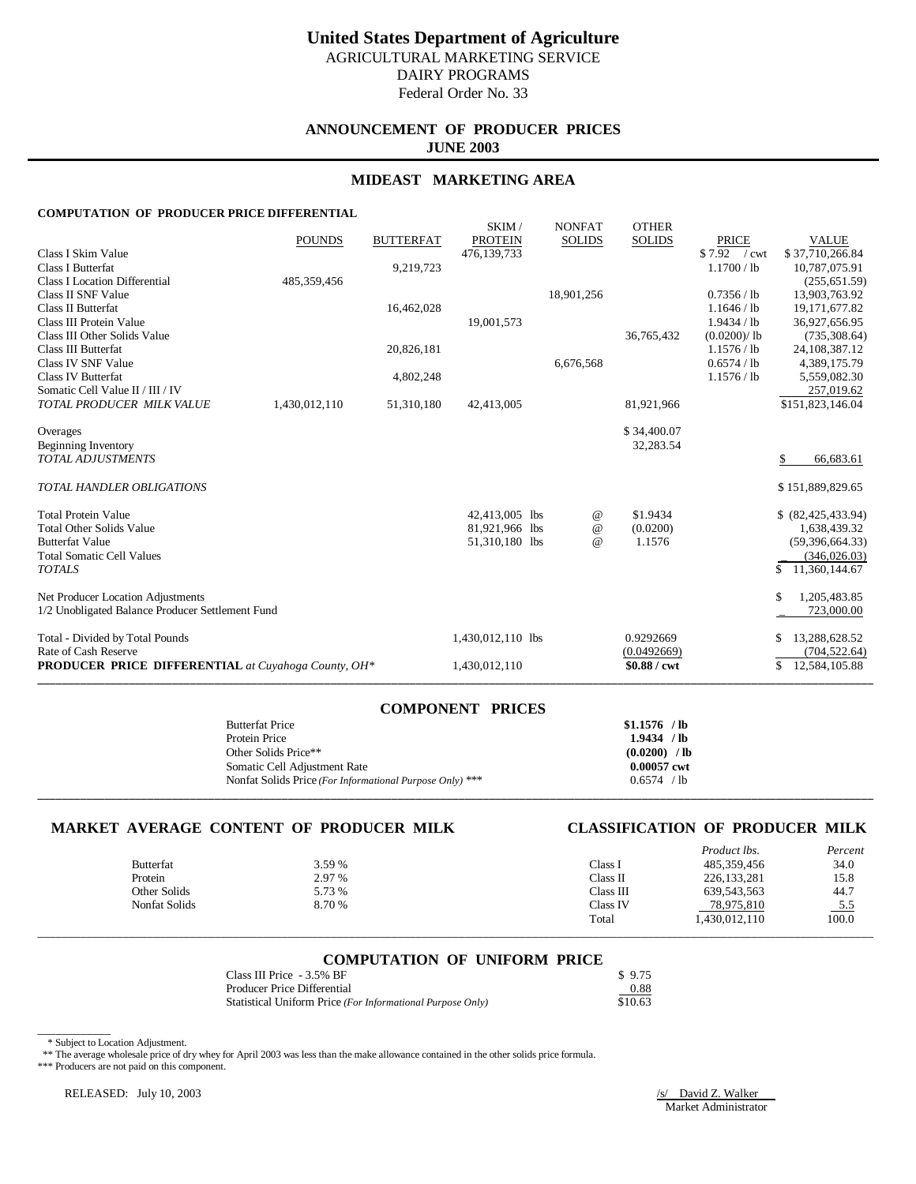## **ANNOUNCEMENT OF PRODUCER PRICES JUNE 2003**

## **MIDEAST MARKETING AREA**

### **COMPUTATION OF PRODUCER PRICE DIFFERENTIAL**

|                                                            | <b>POUNDS</b> | <b>BUTTERFAT</b> | SKIM/<br><b>PROTEIN</b> | <b>NONFAT</b><br><b>SOLIDS</b> | <b>OTHER</b><br><b>SOLIDS</b> | <b>PRICE</b>  | <b>VALUE</b>        |
|------------------------------------------------------------|---------------|------------------|-------------------------|--------------------------------|-------------------------------|---------------|---------------------|
| Class I Skim Value                                         |               |                  | 476,139,733             |                                |                               | $$7.92$ / cwt | \$37,710,266.84     |
| <b>Class I Butterfat</b>                                   |               | 9,219,723        |                         |                                |                               | 1.1700 / lb   | 10,787,075.91       |
| <b>Class I Location Differential</b>                       | 485, 359, 456 |                  |                         |                                |                               |               | (255, 651.59)       |
| Class II SNF Value                                         |               |                  |                         | 18,901,256                     |                               | 0.7356 / lb   | 13,903,763.92       |
| <b>Class II Butterfat</b>                                  |               | 16,462,028       |                         |                                |                               | 1.1646 / lb   | 19, 171, 677.82     |
| Class III Protein Value                                    |               |                  | 19,001,573              |                                |                               | 1.9434 / lb   | 36,927,656.95       |
| Class III Other Solids Value                               |               |                  |                         |                                | 36,765,432                    | (0.0200)/lb   | (735, 308.64)       |
| Class III Butterfat                                        |               | 20,826,181       |                         |                                |                               | 1.1576 / lb   | 24, 108, 387. 12    |
| Class IV SNF Value                                         |               |                  |                         | 6,676,568                      |                               | 0.6574 / lb   | 4,389,175.79        |
| <b>Class IV Butterfat</b>                                  |               | 4,802,248        |                         |                                |                               | 1.1576 / lb   | 5,559,082.30        |
| Somatic Cell Value II / III / IV                           |               |                  |                         |                                |                               |               | 257,019.62          |
| TOTAL PRODUCER MILK VALUE                                  | 1,430,012,110 | 51,310,180       | 42,413,005              |                                | 81,921,966                    |               | \$151,823,146.04    |
|                                                            |               |                  |                         |                                |                               |               |                     |
| Overages<br>Beginning Inventory                            |               |                  |                         |                                | \$34,400.07<br>32,283.54      |               |                     |
| <b>TOTAL ADJUSTMENTS</b>                                   |               |                  |                         |                                |                               |               | 66,683.61<br>S      |
|                                                            |               |                  |                         |                                |                               |               |                     |
| <b>TOTAL HANDLER OBLIGATIONS</b>                           |               |                  |                         |                                |                               |               | \$151,889,829.65    |
| <b>Total Protein Value</b>                                 |               |                  | 42,413,005 lbs          | @                              | \$1.9434                      |               | \$ (82,425,433.94)  |
| <b>Total Other Solids Value</b>                            |               |                  | 81,921,966 lbs          | @                              | (0.0200)                      |               | 1,638,439.32        |
| <b>Butterfat Value</b>                                     |               |                  | 51,310,180 lbs          | $\omega$                       | 1.1576                        |               | (59, 396, 664, 33)  |
| <b>Total Somatic Cell Values</b>                           |               |                  |                         |                                |                               |               | (346, 026.03)       |
| <b>TOTALS</b>                                              |               |                  |                         |                                |                               |               | 11,360,144.67<br>\$ |
| Net Producer Location Adjustments                          |               |                  |                         |                                |                               |               | \$<br>1,205,483.85  |
| 1/2 Unobligated Balance Producer Settlement Fund           |               |                  |                         |                                |                               |               | 723,000.00          |
| Total - Divided by Total Pounds                            |               |                  | 1,430,012,110 lbs       |                                | 0.9292669                     |               | 13,288,628.52       |
| Rate of Cash Reserve                                       |               |                  |                         |                                | (0.0492669)                   |               | (704, 522.64)       |
| <b>PRODUCER PRICE DIFFERENTIAL</b> at Cuyahoga County, OH* |               |                  | 1,430,012,110           |                                | \$0.88 / cwt                  |               | \$<br>12,584,105.88 |
|                                                            |               |                  |                         |                                |                               |               |                     |

| <b>COMPONENT PRICES</b>                                  |                |
|----------------------------------------------------------|----------------|
| <b>Butterfat Price</b>                                   | $$1.1576$ /lb  |
| Protein Price                                            | 1.9434 / lb    |
| Other Solids Price**                                     | $(0.0200)$ /lb |
| Somatic Cell Adjustment Rate                             | 0.00057 cwt    |
| Nonfat Solids Price (For Informational Purpose Only) *** | 0.6574 / lb    |
|                                                          |                |

**COMPONENT PRICES**

## **MARKET AVERAGE CONTENT OF PRODUCER MILK CLASSIFICATION OF PRODUCER MILK**

|               |        |           | Product lbs.  | Percent    |
|---------------|--------|-----------|---------------|------------|
| Butterfat     | 3.59 % | Class 1   | 485,359,456   | 34.0       |
| Protein       | 2.97 % | Class II  | 226, 133, 281 | 15.8       |
| Other Solids  | 5.73 % | Class III | 639, 543, 563 | 44.7       |
| Nonfat Solids | 8.70 % | Class IV  | 78,975,810    | <u>5.5</u> |
|               |        | Total     | 1.430.012.110 | 100.0      |
|               |        |           |               |            |

### **COMPUTATION OF UNIFORM PRICE**

\_\_\_\_\_\_\_\_\_\_\_\_\_\_\_\_\_\_\_\_\_\_\_\_\_\_\_\_\_\_\_\_\_\_\_\_\_\_\_\_\_\_\_\_\_\_\_\_\_\_\_\_\_\_\_\_\_\_\_\_\_\_\_\_\_\_\_\_\_\_\_\_\_\_\_\_\_\_\_\_\_\_\_\_\_\_\_\_\_\_\_\_\_\_\_\_\_\_\_\_\_\_\_\_\_\_\_\_\_\_\_\_\_\_\_\_\_\_\_\_\_\_\_\_\_\_\_\_\_\_\_\_\_\_\_\_\_

| Class III Price - 3.5% BF                                  | \$9.75  |
|------------------------------------------------------------|---------|
| Producer Price Differential                                | 0.88    |
| Statistical Uniform Price (For Informational Purpose Only) | \$10.63 |

 <sup>\*</sup> Subject to Location Adjustment.

\_\_\_\_\_\_\_\_\_\_\_\_

\*\* The average wholesale price of dry whey for April 2003 was less than the make allowance contained in the other solids price formula.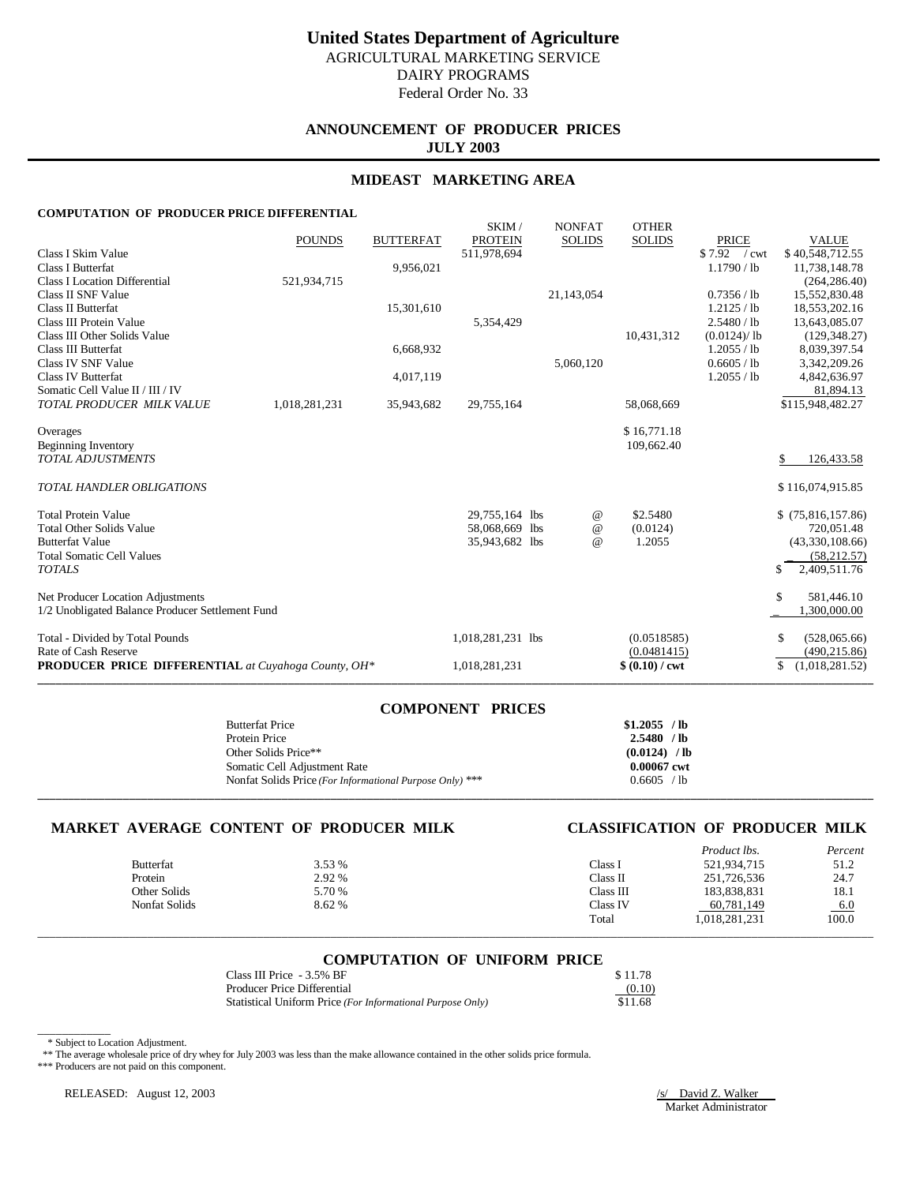# **United States Department of Agriculture** AGRICULTURAL MARKETING SERVICE

DAIRY PROGRAMS

Federal Order No. 33

## **ANNOUNCEMENT OF PRODUCER PRICES JULY 2003**

## **MIDEAST MARKETING AREA**

### **COMPUTATION OF PRODUCER PRICE DIFFERENTIAL**

|                                                            | <b>POUNDS</b> | <b>BUTTERFAT</b> | SKIM/<br><b>PROTEIN</b> | <b>NONFAT</b><br><b>SOLIDS</b> | <b>OTHER</b><br><b>SOLIDS</b> | <b>PRICE</b>  | <b>VALUE</b>         |
|------------------------------------------------------------|---------------|------------------|-------------------------|--------------------------------|-------------------------------|---------------|----------------------|
| Class I Skim Value                                         |               |                  | 511,978,694             |                                |                               | \$7.92 / cwt  | \$40,548,712.55      |
| <b>Class I Butterfat</b>                                   |               | 9,956,021        |                         |                                |                               | 1.1790 / lb   | 11,738,148.78        |
| <b>Class I Location Differential</b>                       | 521,934,715   |                  |                         |                                |                               |               | (264, 286.40)        |
| Class II SNF Value                                         |               |                  |                         | 21,143,054                     |                               | 0.7356 / lb   | 15,552,830.48        |
| Class II Butterfat                                         |               | 15,301,610       |                         |                                |                               | $1.2125$ / lb | 18,553,202.16        |
| Class III Protein Value                                    |               |                  | 5,354,429               |                                |                               | 2.5480 / lb   | 13,643,085.07        |
| Class III Other Solids Value                               |               |                  |                         |                                | 10,431,312                    | (0.0124)/lb   | (129, 348.27)        |
| Class III Butterfat                                        |               | 6,668,932        |                         |                                |                               | 1.2055 / lb   | 8,039,397.54         |
| Class IV SNF Value                                         |               |                  |                         | 5,060,120                      |                               | 0.6605 / lb   | 3,342,209.26         |
| <b>Class IV Butterfat</b>                                  |               | 4,017,119        |                         |                                |                               | 1.2055 / lb   | 4,842,636.97         |
| Somatic Cell Value II / III / IV                           |               |                  |                         |                                |                               |               | 81,894.13            |
| TOTAL PRODUCER MILK VALUE                                  | 1,018,281,231 | 35,943,682       | 29.755.164              |                                | 58,068,669                    |               | \$115,948,482.27     |
|                                                            |               |                  |                         |                                |                               |               |                      |
| Overages                                                   |               |                  |                         |                                | \$16,771.18<br>109,662.40     |               |                      |
| Beginning Inventory<br><b>TOTAL ADJUSTMENTS</b>            |               |                  |                         |                                |                               |               | 126,433.58<br>\$.    |
|                                                            |               |                  |                         |                                |                               |               |                      |
| <b>TOTAL HANDLER OBLIGATIONS</b>                           |               |                  |                         |                                |                               |               | \$116,074,915.85     |
| <b>Total Protein Value</b>                                 |               |                  | 29,755,164 lbs          | @                              | \$2.5480                      |               | \$(75,816,157.86)    |
| <b>Total Other Solids Value</b>                            |               |                  | 58,068,669 lbs          | $^{\copyright}$                | (0.0124)                      |               | 720,051.48           |
| <b>Butterfat Value</b>                                     |               |                  | 35,943,682 lbs          | $\omega$                       | 1.2055                        |               | (43,330,108.66)      |
| <b>Total Somatic Cell Values</b>                           |               |                  |                         |                                |                               |               | (58, 212.57)         |
| <b>TOTALS</b>                                              |               |                  |                         |                                |                               |               | 2,409,511.76<br>\$.  |
| Net Producer Location Adjustments                          |               |                  |                         |                                |                               |               | \$<br>581,446.10     |
| 1/2 Unobligated Balance Producer Settlement Fund           |               |                  |                         |                                |                               |               | 1,300,000.00         |
| Total - Divided by Total Pounds                            |               |                  | 1,018,281,231 lbs       |                                | (0.0518585)                   |               | (528,065.66)<br>\$   |
| Rate of Cash Reserve                                       |               |                  |                         |                                | (0.0481415)                   |               | (490, 215.86)        |
| <b>PRODUCER PRICE DIFFERENTIAL</b> at Cuyahoga County, OH* |               |                  | 1,018,281,231           |                                | $$ (0.10) / \text{cwt}$       |               | \$<br>(1,018,281.52) |
|                                                            |               |                  |                         |                                |                               |               |                      |

| COMPONENT PRICES                                         |                |
|----------------------------------------------------------|----------------|
| <b>Butterfat Price</b>                                   | $$1.2055$ /lb  |
| Protein Price                                            | $2.5480$ /lb   |
| Other Solids Price**                                     | $(0.0124)$ /lb |
| Somatic Cell Adjustment Rate                             | 0.00067 cwt    |
| Nonfat Solids Price (For Informational Purpose Only) *** | 0.6605 / lb    |
|                                                          |                |

**COMPONENT PRICES**

## **MARKET AVERAGE CONTENT OF PRODUCER MILK CLASSIFICATION OF PRODUCER MILK**

|                  |        |           | Product lbs.  | Percent |
|------------------|--------|-----------|---------------|---------|
| <b>Butterfat</b> | 3.53 % | Class 1   | 521,934,715   | 51.2    |
| Protein          | 2.92 % | Class II  | 251,726,536   | 24.7    |
| Other Solids     | 5.70 % | Class III | 183,838,831   | 18.1    |
| Nonfat Solids    | 8.62%  | Class IV  | 60,781,149    | 6.0     |
|                  |        | Total     | 1,018,281,231 | 100.0   |
|                  |        |           |               |         |

### **COMPUTATION OF UNIFORM PRICE**

\_\_\_\_\_\_\_\_\_\_\_\_\_\_\_\_\_\_\_\_\_\_\_\_\_\_\_\_\_\_\_\_\_\_\_\_\_\_\_\_\_\_\_\_\_\_\_\_\_\_\_\_\_\_\_\_\_\_\_\_\_\_\_\_\_\_\_\_\_\_\_\_\_\_\_\_\_\_\_\_\_\_\_\_\_\_\_\_\_\_\_\_\_\_\_\_\_\_\_\_\_\_\_\_\_\_\_\_\_\_\_\_\_\_\_\_\_\_\_\_\_\_\_\_\_\_\_\_\_\_\_\_\_\_\_\_\_

| Class III Price - 3.5% BF                                  | \$11.78 |
|------------------------------------------------------------|---------|
| Producer Price Differential                                | (0.10)  |
| Statistical Uniform Price (For Informational Purpose Only) | \$11.68 |

 <sup>\*</sup> Subject to Location Adjustment.

\_\_\_\_\_\_\_\_\_\_\_\_

\*\* The average wholesale price of dry whey for July 2003 was less than the make allowance contained in the other solids price formula.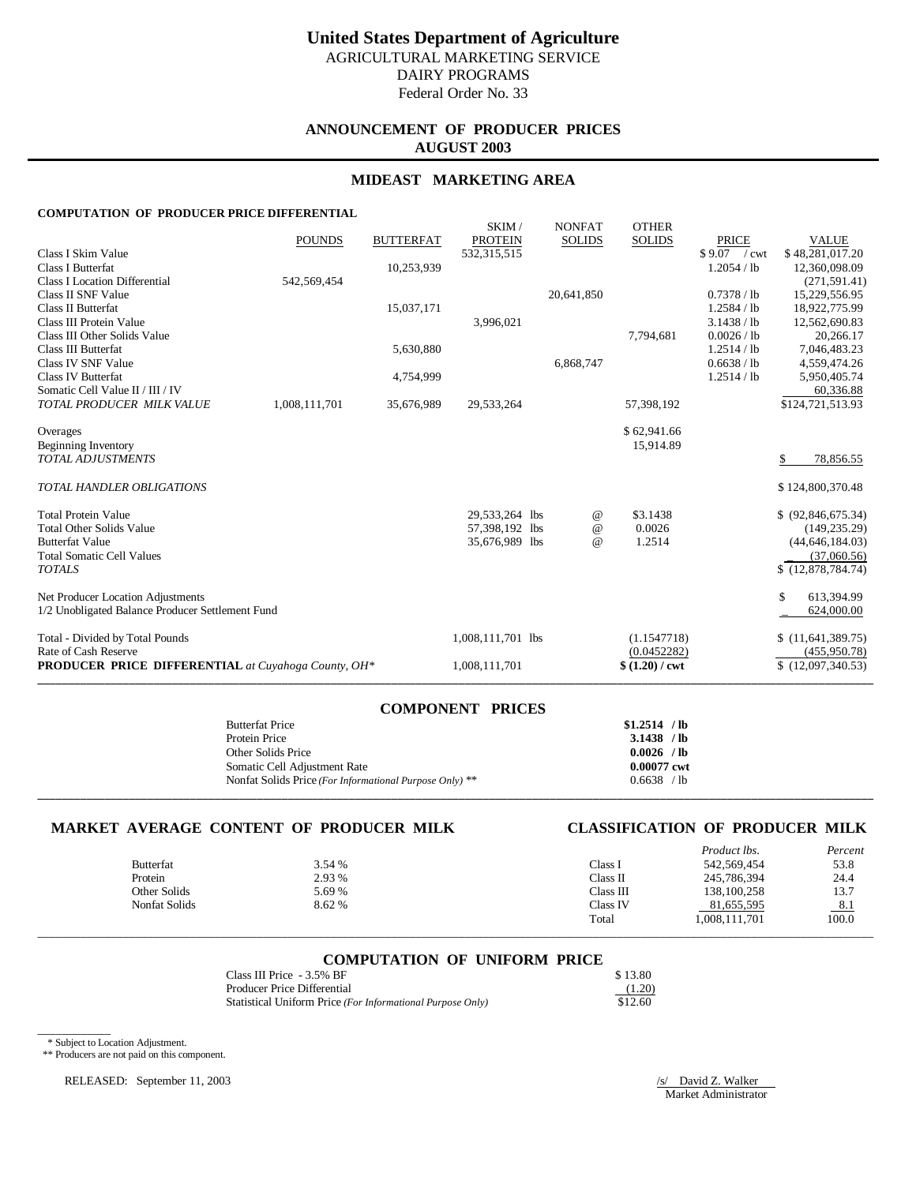## **ANNOUNCEMENT OF PRODUCER PRICES AUGUST 2003**

## **MIDEAST MARKETING AREA**

### **COMPUTATION OF PRODUCER PRICE DIFFERENTIAL**

|                                                            | <b>POUNDS</b> | <b>BUTTERFAT</b> | SKIM/<br><b>PROTEIN</b> | <b>NONFAT</b><br><b>SOLIDS</b> | <b>OTHER</b><br><b>SOLIDS</b> | <b>PRICE</b>  | <b>VALUE</b>       |
|------------------------------------------------------------|---------------|------------------|-------------------------|--------------------------------|-------------------------------|---------------|--------------------|
| Class I Skim Value                                         |               |                  | 532, 315, 515           |                                |                               | $$9.07$ / cwt | \$48,281,017.20    |
| <b>Class I Butterfat</b>                                   |               | 10,253,939       |                         |                                |                               | 1.2054 / lb   | 12,360,098.09      |
| <b>Class I Location Differential</b>                       | 542,569,454   |                  |                         |                                |                               |               | (271, 591.41)      |
| Class II SNF Value                                         |               |                  |                         | 20,641,850                     |                               | 0.7378 / lb   | 15,229,556.95      |
| <b>Class II Butterfat</b>                                  |               | 15,037,171       |                         |                                |                               | 1.2584 / lb   | 18,922,775.99      |
| Class III Protein Value                                    |               |                  | 3,996,021               |                                |                               | 3.1438 / lb   | 12,562,690.83      |
| Class III Other Solids Value                               |               |                  |                         |                                | 7,794,681                     | 0.0026 / lb   | 20,266.17          |
| Class III Butterfat                                        |               | 5,630,880        |                         |                                |                               | 1.2514 / lb   | 7,046,483.23       |
| <b>Class IV SNF Value</b>                                  |               |                  |                         | 6,868,747                      |                               | 0.6638 / lb   | 4,559,474.26       |
| <b>Class IV Butterfat</b>                                  |               | 4,754,999        |                         |                                |                               | 1.2514 / lb   | 5,950,405.74       |
| Somatic Cell Value II / III / IV                           |               |                  |                         |                                |                               |               | 60,336.88          |
| TOTAL PRODUCER MILK VALUE                                  | 1,008,111,701 | 35,676,989       | 29,533,264              |                                | 57,398,192                    |               | \$124,721,513.93   |
|                                                            |               |                  |                         |                                |                               |               |                    |
| Overages                                                   |               |                  |                         |                                | \$62,941.66                   |               |                    |
| Beginning Inventory<br><b>TOTAL ADJUSTMENTS</b>            |               |                  |                         |                                | 15,914.89                     |               | 78,856.55<br>\$.   |
|                                                            |               |                  |                         |                                |                               |               |                    |
| TOTAL HANDLER OBLIGATIONS                                  |               |                  |                         |                                |                               |               | \$124,800,370.48   |
| <b>Total Protein Value</b>                                 |               |                  | 29,533,264 lbs          | @                              | \$3.1438                      |               | \$ (92,846,675.34) |
| <b>Total Other Solids Value</b>                            |               |                  | 57,398,192 lbs          | $^{\,a}$                       | 0.0026                        |               | (149, 235.29)      |
| <b>Butterfat Value</b>                                     |               |                  | 35,676,989 lbs          | $\omega$                       | 1.2514                        |               | (44, 646, 184.03)  |
| <b>Total Somatic Cell Values</b>                           |               |                  |                         |                                |                               |               | (37,060.56)        |
| <b>TOTALS</b>                                              |               |                  |                         |                                |                               |               | \$(12,878,784.74)  |
| Net Producer Location Adjustments                          |               |                  |                         |                                |                               |               | \$<br>613,394.99   |
| 1/2 Unobligated Balance Producer Settlement Fund           |               |                  |                         |                                |                               |               | 624,000.00         |
| Total - Divided by Total Pounds                            |               |                  | 1,008,111,701 lbs       |                                | (1.1547718)                   |               | \$(11,641,389.75)  |
| Rate of Cash Reserve                                       |               |                  |                         |                                | (0.0452282)                   |               | (455, 950.78)      |
| <b>PRODUCER PRICE DIFFERENTIAL</b> at Cuyahoga County, OH* |               |                  | 1,008,111,701           |                                | $$ (1.20) /$ cwt              |               | (12,097,340.53)    |
|                                                            |               |                  |                         |                                |                               |               |                    |

| COMPONENT PRICES                                        |               |
|---------------------------------------------------------|---------------|
| <b>Butterfat Price</b>                                  | $$1.2514$ /lb |
| Protein Price                                           | $3.1438$ /lb  |
| Other Solids Price                                      | $0.0026$ /lb  |
| Somatic Cell Adjustment Rate                            | 0.00077 cwt   |
| Nonfat Solids Price (For Informational Purpose Only) ** | 0.6638 / lb   |
|                                                         |               |

**COMPONENT PRICES**

## **MARKET AVERAGE CONTENT OF PRODUCER MILK CLASSIFICATION OF PRODUCER MILK**

|               |        |           | Product lbs.  | Percent |
|---------------|--------|-----------|---------------|---------|
| Butterfat     | 3.54 % | Class I   | 542,569,454   | 53.8    |
| Protein       | 2.93 % | Class II  | 245,786,394   | 24.4    |
| Other Solids  | 5.69 % | Class III | 138, 100, 258 | 13.7    |
| Nonfat Solids | 8.62 % | Class IV  | 81,655,595    | 8.1     |
|               |        | Total     | 1,008,111,701 | 100.0   |

### **COMPUTATION OF UNIFORM PRICE**

\_\_\_\_\_\_\_\_\_\_\_\_\_\_\_\_\_\_\_\_\_\_\_\_\_\_\_\_\_\_\_\_\_\_\_\_\_\_\_\_\_\_\_\_\_\_\_\_\_\_\_\_\_\_\_\_\_\_\_\_\_\_\_\_\_\_\_\_\_\_\_\_\_\_\_\_\_\_\_\_\_\_\_\_\_\_\_\_\_\_\_\_\_\_\_\_\_\_\_\_\_\_\_\_\_\_\_\_\_\_\_\_\_\_\_\_\_\_\_\_\_\_\_\_\_\_\_\_\_\_\_\_\_\_\_\_\_

| Class III Price - 3.5% BF                                  | \$13.80 |
|------------------------------------------------------------|---------|
| Producer Price Differential                                | (1.20)  |
| Statistical Uniform Price (For Informational Purpose Only) | \$12.60 |

\* Subject to Location Adjustment.

\_\_\_\_\_\_\_\_\_\_\_\_

\*\* Producers are not paid on this component.

RELEASED: September 11, 2003 /s/ David Z. Walker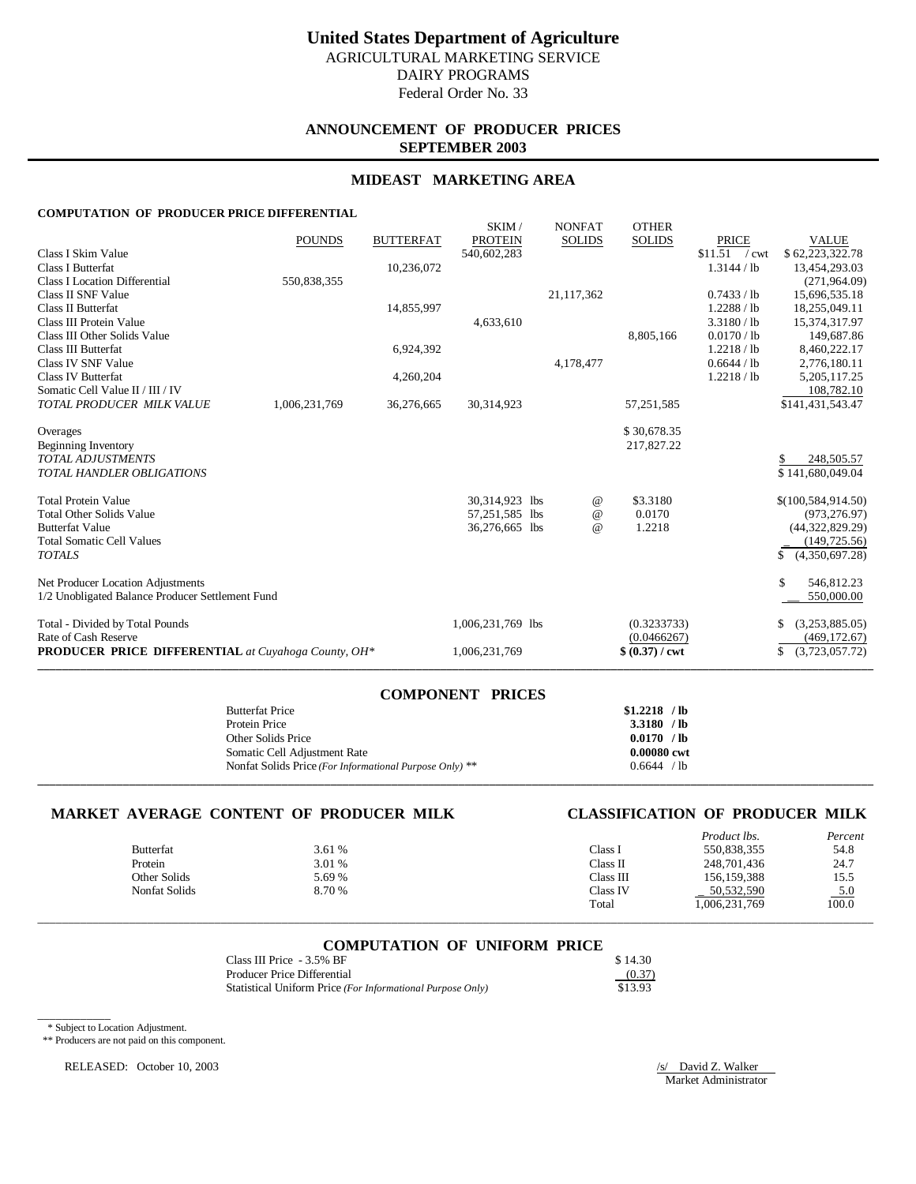## **ANNOUNCEMENT OF PRODUCER PRICES SEPTEMBER 2003**

## **MIDEAST MARKETING AREA**

## **COMPUTATION OF PRODUCER PRICE DIFFERENTIAL**

|                                                               | <b>POUNDS</b> | <b>BUTTERFAT</b> | SKIM/<br><b>PROTEIN</b>          | <b>NONFAT</b><br><b>SOLIDS</b> | <b>OTHER</b><br><b>SOLIDS</b>         | <b>PRICE</b>   | <b>VALUE</b>                       |
|---------------------------------------------------------------|---------------|------------------|----------------------------------|--------------------------------|---------------------------------------|----------------|------------------------------------|
| Class I Skim Value                                            |               |                  | 540,602,283                      |                                |                                       | $$11.51$ / cwt | \$62,223,322.78                    |
| <b>Class I Butterfat</b>                                      |               | 10,236,072       |                                  |                                |                                       | 1.3144 / lb    | 13,454,293.03                      |
| Class I Location Differential                                 | 550,838,355   |                  |                                  |                                |                                       |                | (271, 964.09)                      |
| Class II SNF Value                                            |               |                  |                                  | 21,117,362                     |                                       | 0.7433 / lb    | 15,696,535.18                      |
| Class II Butterfat                                            |               | 14,855,997       |                                  |                                |                                       | 1.2288 / lb    | 18,255,049.11                      |
| Class III Protein Value                                       |               |                  | 4,633,610                        |                                |                                       | 3.3180 / lb    | 15,374,317.97                      |
| Class III Other Solids Value                                  |               |                  |                                  |                                | 8,805,166                             | 0.0170 / lb    | 149,687.86                         |
| Class III Butterfat                                           |               | 6,924,392        |                                  |                                |                                       | 1.2218 / lb    | 8,460,222.17                       |
| Class IV SNF Value                                            |               |                  |                                  | 4,178,477                      |                                       | 0.6644 / lb    | 2,776,180.11                       |
| <b>Class IV Butterfat</b>                                     |               | 4,260,204        |                                  |                                |                                       | 1.2218 / lb    | 5, 205, 117.25                     |
| Somatic Cell Value II / III / IV                              |               |                  |                                  |                                |                                       |                | 108,782.10                         |
| TOTAL PRODUCER MILK VALUE                                     | 1,006,231,769 | 36,276,665       | 30,314,923                       |                                | 57,251,585                            |                | \$141,431,543.47                   |
| Overages                                                      |               |                  |                                  |                                | \$30,678.35                           |                |                                    |
| Beginning Inventory                                           |               |                  |                                  |                                | 217,827.22                            |                |                                    |
| <b>TOTAL ADJUSTMENTS</b>                                      |               |                  |                                  |                                |                                       |                | 248,505.57                         |
| <b>TOTAL HANDLER OBLIGATIONS</b>                              |               |                  |                                  |                                |                                       |                | \$141,680,049.04                   |
|                                                               |               |                  |                                  |                                |                                       |                |                                    |
| <b>Total Protein Value</b><br><b>Total Other Solids Value</b> |               |                  | 30,314,923 lbs                   |                                | \$3.3180<br>@<br>0.0170               |                | \$(100, 584, 914.50)               |
| <b>Butterfat Value</b>                                        |               |                  | 57,251,585 lbs<br>36,276,665 lbs |                                | $^{\copyright}$<br>1.2218<br>$\omega$ |                | (973, 276.97)<br>(44, 322, 829.29) |
| <b>Total Somatic Cell Values</b>                              |               |                  |                                  |                                |                                       |                | (149, 725.56)                      |
| <b>TOTALS</b>                                                 |               |                  |                                  |                                |                                       |                | (4,350,697.28)<br>\$               |
|                                                               |               |                  |                                  |                                |                                       |                |                                    |
| Net Producer Location Adjustments                             |               |                  |                                  |                                |                                       |                | S.<br>546,812.23                   |
| 1/2 Unobligated Balance Producer Settlement Fund              |               |                  |                                  |                                |                                       |                | 550,000.00                         |
| Total - Divided by Total Pounds                               |               |                  | 1,006,231,769 lbs                |                                | (0.3233733)                           |                | \$<br>(3,253,885.05)               |
| Rate of Cash Reserve                                          |               |                  |                                  |                                | (0.0466267)                           |                | (469, 172.67)                      |
| <b>PRODUCER PRICE DIFFERENTIAL</b> at Cuyahoga County, OH*    |               |                  | 1,006,231,769                    |                                | $$ (0.37) / \text{cwt}$               |                | \$<br>(3,723,057.72)               |

| <b>COMPONENT PRICES</b>                                 |               |
|---------------------------------------------------------|---------------|
| <b>Butterfat Price</b>                                  | $$1.2218$ /lb |
| Protein Price                                           | 3.3180 / lb   |
| Other Solids Price                                      | 0.0170 / lb   |
| Somatic Cell Adjustment Rate                            | 0.00080 cwt   |
| Nonfat Solids Price (For Informational Purpose Only) ** | 0.6644 / lb   |
|                                                         |               |

## **MARKET AVERAGE CONTENT OF PRODUCER MILK CLASSIFICATION OF PRODUCER MILK**

|               |        |           | Product lbs.  | Percent |
|---------------|--------|-----------|---------------|---------|
| Butterfat     | 3.61 % | Class I   | 550.838.355   | 54.8    |
| Protein       | 3.01 % | Class II  | 248,701,436   | 24.7    |
| Other Solids  | 5.69 % | Class III | 156.159.388   | 15.5    |
| Nonfat Solids | 8.70 % | Class IV  | 50,532,590    | $-5.0$  |
|               |        | Total     | 1,006,231,769 | 100.0   |

| <b>COMPUTATION OF UNIFORM PRICE</b> |  |         |
|-------------------------------------|--|---------|
| Class III Price - 3.5% BF           |  | \$14.30 |

\_\_\_\_\_\_\_\_\_\_\_\_\_\_\_\_\_\_\_\_\_\_\_\_\_\_\_\_\_\_\_\_\_\_\_\_\_\_\_\_\_\_\_\_\_\_\_\_\_\_\_\_\_\_\_\_\_\_\_\_\_\_\_\_\_\_\_\_\_\_\_\_\_\_\_\_\_\_\_\_\_\_\_\_\_\_\_\_\_\_\_\_\_\_\_\_\_\_\_\_\_\_\_\_\_\_\_\_\_\_\_\_\_\_\_\_\_\_\_\_\_\_\_\_\_\_\_\_\_\_\_\_\_\_\_\_\_

| Class III 1 HC = $3.3\%$ DI                                | $0 + 1 + 0$ |
|------------------------------------------------------------|-------------|
| Producer Price Differential                                | (0.37)      |
| Statistical Uniform Price (For Informational Purpose Only) | \$13.93     |

\* Subject to Location Adjustment.

\_\_\_\_\_\_\_\_\_\_\_\_

\*\* Producers are not paid on this component.

RELEASED: October 10, 2003 /s/ David Z. Walker

 $\overline{\phantom{0}}$ Market Administrator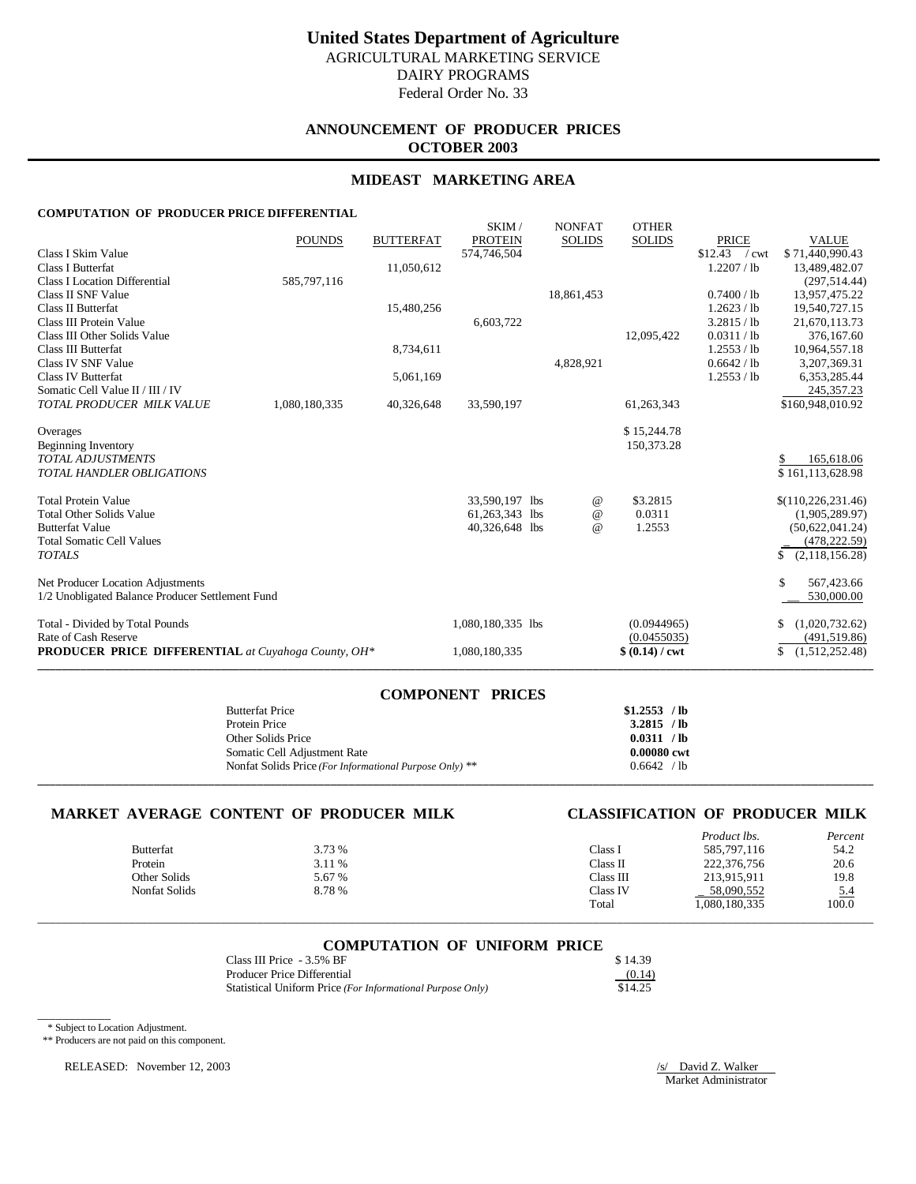# **ANNOUNCEMENT OF PRODUCER PRICES OCTOBER 2003**

## **MIDEAST MARKETING AREA**

### **COMPUTATION OF PRODUCER PRICE DIFFERENTIAL**

|                                                            | <b>POUNDS</b> | <b>BUTTERFAT</b> | SKIM/<br><b>PROTEIN</b> | <b>NONFAT</b><br><b>SOLIDS</b> | <b>OTHER</b><br><b>SOLIDS</b> | <b>PRICE</b>   | <b>VALUE</b>         |
|------------------------------------------------------------|---------------|------------------|-------------------------|--------------------------------|-------------------------------|----------------|----------------------|
| Class I Skim Value                                         |               |                  | 574,746,504             |                                |                               | $$12.43$ / cwt | \$71,440,990.43      |
| <b>Class I Butterfat</b>                                   |               | 11,050,612       |                         |                                |                               | 1.2207 / lb    | 13,489,482.07        |
| <b>Class I Location Differential</b>                       | 585,797,116   |                  |                         |                                |                               |                | (297, 514.44)        |
| Class II SNF Value                                         |               |                  |                         | 18,861,453                     |                               | 0.7400 / lb    | 13,957,475.22        |
| <b>Class II Butterfat</b>                                  |               | 15,480,256       |                         |                                |                               | 1.2623 / lb    | 19,540,727.15        |
| Class III Protein Value                                    |               |                  | 6,603,722               |                                |                               | 3.2815 / lb    | 21,670,113.73        |
| Class III Other Solids Value                               |               |                  |                         |                                | 12,095,422                    | 0.0311 / lb    | 376,167.60           |
| Class III Butterfat                                        |               | 8,734,611        |                         |                                |                               | 1.2553 / lb    | 10,964,557.18        |
| Class IV SNF Value                                         |               |                  |                         | 4,828,921                      |                               | 0.6642 / lb    | 3.207.369.31         |
| <b>Class IV Butterfat</b>                                  |               | 5,061,169        |                         |                                |                               | 1.2553 / lb    | 6,353,285.44         |
| Somatic Cell Value II / III / IV                           |               |                  |                         |                                |                               |                | 245, 357. 23         |
| TOTAL PRODUCER MILK VALUE                                  | 1,080,180,335 | 40,326,648       | 33,590,197              |                                | 61,263,343                    |                | \$160,948,010.92     |
| Overages                                                   |               |                  |                         |                                | \$15,244.78                   |                |                      |
| Beginning Inventory                                        |               |                  |                         |                                | 150,373.28                    |                |                      |
| <b>TOTAL ADJUSTMENTS</b>                                   |               |                  |                         |                                |                               |                | 165,618.06           |
| <b>TOTAL HANDLER OBLIGATIONS</b>                           |               |                  |                         |                                |                               |                | \$161,113,628.98     |
|                                                            |               |                  |                         |                                |                               |                |                      |
| <b>Total Protein Value</b>                                 |               |                  | 33,590,197 lbs          | @                              | \$3.2815                      |                | \$(110, 226, 231.46) |
| <b>Total Other Solids Value</b>                            |               |                  | 61,263,343 lbs          | $^{\,a}$                       | 0.0311                        |                | (1,905,289.97)       |
| <b>Butterfat Value</b>                                     |               |                  | 40,326,648 lbs          | $\omega$                       | 1.2553                        |                | (50,622,041.24)      |
| <b>Total Somatic Cell Values</b>                           |               |                  |                         |                                |                               |                | (478, 222.59)        |
| <b>TOTALS</b>                                              |               |                  |                         |                                |                               |                | (2,118,156.28)<br>\$ |
| Net Producer Location Adjustments                          |               |                  |                         |                                |                               |                | S.<br>567,423.66     |
| 1/2 Unobligated Balance Producer Settlement Fund           |               |                  |                         |                                |                               |                | 530,000.00           |
| Total - Divided by Total Pounds                            |               |                  | 1,080,180,335 lbs       |                                | (0.0944965)                   |                | \$<br>(1,020,732.62) |
| Rate of Cash Reserve                                       |               |                  |                         |                                | (0.0455035)                   |                | (491, 519.86)        |
| <b>PRODUCER PRICE DIFFERENTIAL</b> at Cuyahoga County, OH* |               |                  | 1,080,180,335           |                                | $$ (0.14) / \text{cwt}$       |                | \$<br>(1,512,252.48) |

| <b>COMPONENT PRICES</b>                                 |               |
|---------------------------------------------------------|---------------|
| <b>Butterfat Price</b>                                  | $$1.2553$ /lb |
| Protein Price                                           | 3.2815 / lb   |
| Other Solids Price                                      | 0.0311 / lb   |
| Somatic Cell Adjustment Rate                            | 0.00080 cwt   |
| Nonfat Solids Price (For Informational Purpose Only) ** | 0.6642 / lb   |
|                                                         |               |

## **MARKET AVERAGE CONTENT OF PRODUCER MILK CLASSIFICATION OF PRODUCER MILK**

|                  |        |           | <i>Product lbs.</i> | Percent    |
|------------------|--------|-----------|---------------------|------------|
| <b>Butterfat</b> | 3.73 % | Class I   | 585,797,116         | 54.2       |
| Protein          | 3.11 % | Class II  | 222,376,756         | 20.6       |
| Other Solids     | 5.67 % | Class III | 213.915.911         | 19.8       |
| Nonfat Solids    | 8.78%  | Class IV  | 58,090,552          | <u>5.4</u> |
|                  |        | Total     | .080,180,335        | 100.0      |

| <b>COMPUTATION OF UNIFORM PRICE</b> |  |  |
|-------------------------------------|--|--|
|                                     |  |  |

\_\_\_\_\_\_\_\_\_\_\_\_\_\_\_\_\_\_\_\_\_\_\_\_\_\_\_\_\_\_\_\_\_\_\_\_\_\_\_\_\_\_\_\_\_\_\_\_\_\_\_\_\_\_\_\_\_\_\_\_\_\_\_\_\_\_\_\_\_\_\_\_\_\_\_\_\_\_\_\_\_\_\_\_\_\_\_\_\_\_\_\_\_\_\_\_\_\_\_\_\_\_\_\_\_\_\_\_\_\_\_\_\_\_\_\_\_\_\_\_\_\_\_\_\_\_\_\_\_\_\_\_\_\_\_\_\_

| Class III Price - 3.5% BF                                  | \$14.39 |
|------------------------------------------------------------|---------|
| Producer Price Differential                                | (0.14)  |
| Statistical Uniform Price (For Informational Purpose Only) | \$14.25 |

\* Subject to Location Adjustment.

\_\_\_\_\_\_\_\_\_\_\_\_

\*\* Producers are not paid on this component.

RELEASED: November 12, 2003 /s/ David Z. Walker

 $\overline{\phantom{0}}$ Market Administrator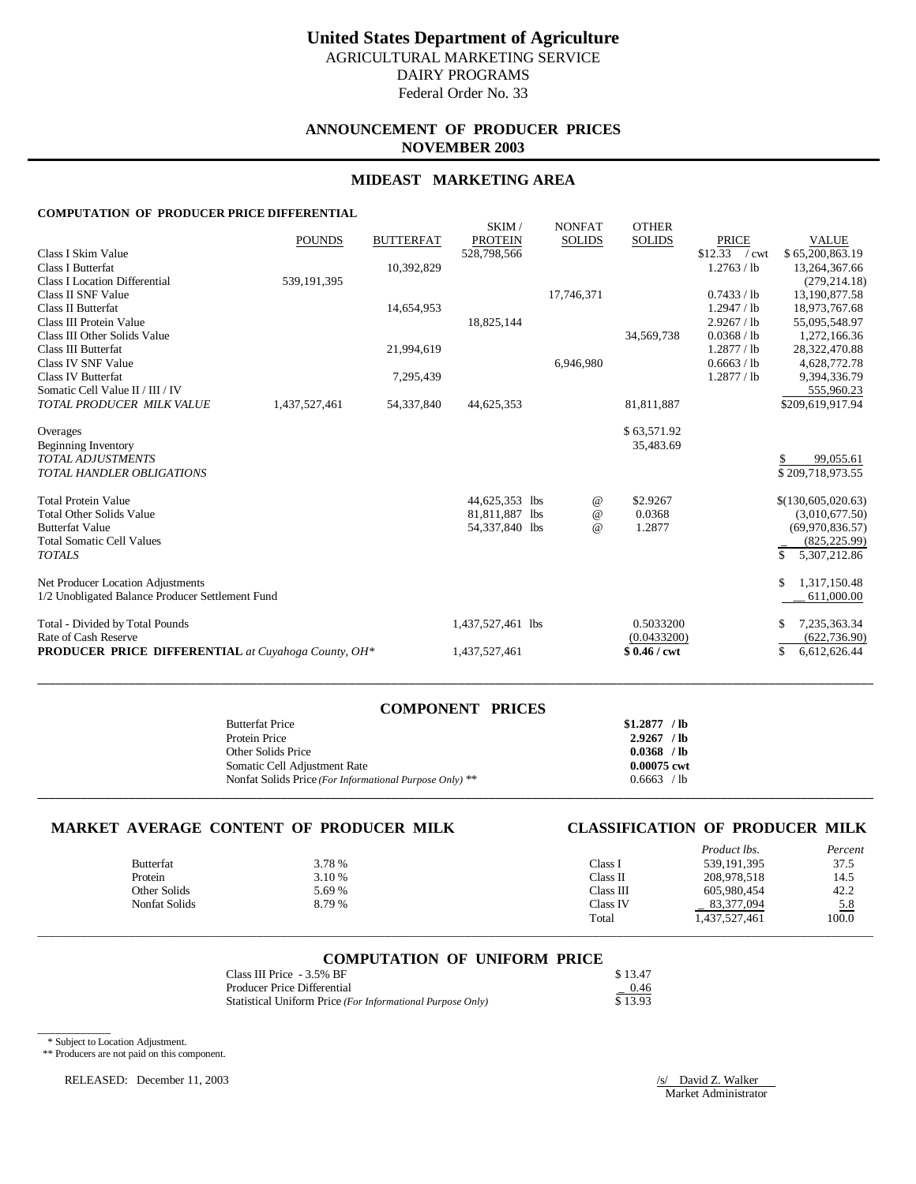# **ANNOUNCEMENT OF PRODUCER PRICES NOVEMBER 2003**

## **MIDEAST MARKETING AREA**

#### **COMPUTATION OF PRODUCER PRICE DIFFERENTIAL**

|                                                                                    | <b>POUNDS</b> | <b>BUTTERFAT</b> | SKIM/<br><b>PROTEIN</b> | <b>NONFAT</b><br><b>SOLIDS</b> | <b>OTHER</b><br><b>SOLIDS</b> | <b>PRICE</b>   | <b>VALUE</b>                        |
|------------------------------------------------------------------------------------|---------------|------------------|-------------------------|--------------------------------|-------------------------------|----------------|-------------------------------------|
| Class I Skim Value                                                                 |               |                  | 528,798,566             |                                |                               | $$12.33$ / cwt | \$65,200,863.19                     |
| Class I Butterfat                                                                  |               | 10,392,829       |                         |                                |                               | 1.2763 / lb    | 13,264,367.66                       |
| <b>Class I Location Differential</b>                                               | 539, 191, 395 |                  |                         |                                |                               |                | (279, 214.18)                       |
| Class II SNF Value                                                                 |               |                  |                         | 17,746,371                     |                               | 0.7433 / lb    | 13,190,877.58                       |
| <b>Class II Butterfat</b>                                                          |               | 14,654,953       |                         |                                |                               | 1.2947 / lb    | 18,973,767.68                       |
| Class III Protein Value                                                            |               |                  | 18,825,144              |                                |                               | 2.9267 / lb    | 55,095,548.97                       |
| Class III Other Solids Value                                                       |               |                  |                         |                                | 34,569,738                    | 0.0368 / lb    | 1,272,166.36                        |
| Class III Butterfat                                                                |               | 21,994,619       |                         |                                |                               | 1.2877 / lb    | 28,322,470.88                       |
| Class IV SNF Value                                                                 |               |                  |                         | 6.946.980                      |                               | 0.6663 / lb    | 4,628,772.78                        |
| <b>Class IV Butterfat</b>                                                          |               | 7,295,439        |                         |                                |                               | 1.2877 / lb    | 9,394,336.79                        |
| Somatic Cell Value II / III / IV                                                   |               |                  |                         |                                |                               |                | 555,960.23                          |
| TOTAL PRODUCER MILK VALUE                                                          | 1,437,527,461 | 54, 337, 840     | 44,625,353              |                                | 81,811,887                    |                | \$209,619,917.94                    |
| Overages                                                                           |               |                  |                         |                                | \$63,571.92                   |                |                                     |
| Beginning Inventory                                                                |               |                  |                         |                                | 35,483.69                     |                |                                     |
| <b>TOTAL ADJUSTMENTS</b>                                                           |               |                  |                         |                                |                               |                | 99,055.61<br>\$                     |
| TOTAL HANDLER OBLIGATIONS                                                          |               |                  |                         |                                |                               |                | \$209,718,973.55                    |
|                                                                                    |               |                  |                         |                                |                               |                |                                     |
| <b>Total Protein Value</b>                                                         |               |                  | 44,625,353 lbs          | $\omega$                       | \$2.9267                      |                | \$(130,605,020.63)                  |
| <b>Total Other Solids Value</b>                                                    |               |                  | 81,811,887 lbs          | $\omega$                       | 0.0368                        |                | (3,010,677.50)                      |
| <b>Butterfat Value</b>                                                             |               |                  | 54,337,840 lbs          | $\omega$                       | 1.2877                        |                | (69,970,836.57)                     |
| <b>Total Somatic Cell Values</b>                                                   |               |                  |                         |                                |                               |                | (825, 225.99)                       |
| <b>TOTALS</b>                                                                      |               |                  |                         |                                |                               |                | 5,307,212.86<br>\$.                 |
| Net Producer Location Adjustments                                                  |               |                  |                         |                                |                               |                | 1,317,150.48<br>S.                  |
| 1/2 Unobligated Balance Producer Settlement Fund                                   |               |                  |                         |                                |                               |                | 611,000.00                          |
|                                                                                    |               |                  |                         |                                |                               |                |                                     |
| Total - Divided by Total Pounds                                                    |               |                  | 1,437,527,461 lbs       |                                | 0.5033200                     |                | 7,235,363.34<br>\$                  |
| Rate of Cash Reserve<br><b>PRODUCER PRICE DIFFERENTIAL</b> at Cuyahoga County, OH* |               |                  | 1,437,527,461           |                                | (0.0433200)<br>$$0.46 /$ cwt  |                | (622, 736.90)<br>\$<br>6,612,626.44 |

| <b>COMPONENT PRICES</b>                                 |               |
|---------------------------------------------------------|---------------|
| <b>Butterfat Price</b>                                  | $$1.2877$ /lb |
| Protein Price                                           | $2.9267$ /lb  |
| Other Solids Price                                      | $0.0368$ /lb  |
| Somatic Cell Adjustment Rate                            | 0.00075 cwt   |
| Nonfat Solids Price (For Informational Purpose Only) ** | 0.6663 / lb   |
|                                                         |               |

**\_\_\_\_\_\_\_\_\_\_\_\_\_\_\_\_\_\_\_\_\_\_\_\_\_\_\_\_\_\_\_\_\_\_\_\_\_\_\_\_\_\_\_\_\_\_\_\_\_\_\_\_\_\_\_\_\_\_\_\_\_\_\_\_\_\_\_\_\_\_\_\_\_\_\_\_\_\_\_\_\_\_\_\_\_\_\_\_\_\_\_\_\_\_\_\_\_\_\_\_\_\_\_\_\_\_\_\_\_\_\_\_\_\_\_\_\_\_\_\_\_\_\_\_\_\_\_\_\_\_\_\_\_\_\_\_\_**

## **MARKET AVERAGE CONTENT OF PRODUCER MILK CLASSIFICATION OF PRODUCER MILK**

|               |        |           | Product lbs.  | Percent    |
|---------------|--------|-----------|---------------|------------|
| Butterfat     | 3.78 % | Class I   | 539, 191, 395 | 37.5       |
| Protein       | 3.10 % | Class II  | 208,978,518   | 14.5       |
| Other Solids  | 5.69%  | Class III | 605.980.454   | 42.2       |
| Nonfat Solids | 8.79%  | Class IV  | 83,377,094    | <u>5.8</u> |
|               |        | Total     | 1,437,527,461 | 100.0      |

### **COMPUTATION OF UNIFORM PRICE**

\_\_\_\_\_\_\_\_\_\_\_\_\_\_\_\_\_\_\_\_\_\_\_\_\_\_\_\_\_\_\_\_\_\_\_\_\_\_\_\_\_\_\_\_\_\_\_\_\_\_\_\_\_\_\_\_\_\_\_\_\_\_\_\_\_\_\_\_\_\_\_\_\_\_\_\_\_\_\_\_\_\_\_\_\_\_\_\_\_\_\_\_\_\_\_\_\_\_\_\_\_\_\_\_\_\_\_\_\_\_\_\_\_\_\_\_\_\_\_\_\_\_\_\_\_\_\_\_\_\_\_\_\_\_\_\_\_

| Class III Price - 3.5% BF                                  | \$13.47 |
|------------------------------------------------------------|---------|
| Producer Price Differential                                | $-0.46$ |
| Statistical Uniform Price (For Informational Purpose Only) | \$13.93 |

\_\_\_\_\_\_\_\_\_\_\_\_ \* Subject to Location Adjustment.

\*\* Producers are not paid on this component.

RELEASED: December 11, 2003 /s/ David Z. Walker